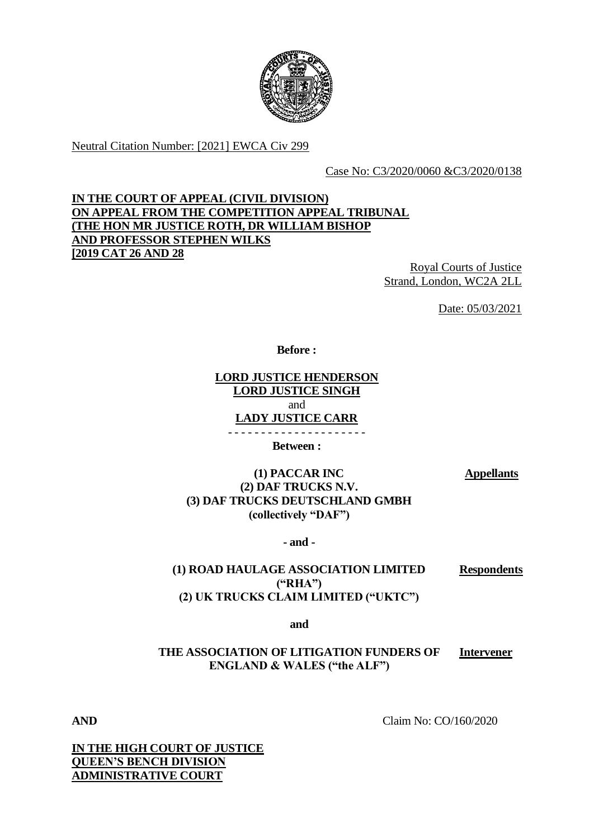

Neutral Citation Number: [2021] EWCA Civ 299

Case No: C3/2020/0060 &C3/2020/0138

# **IN THE COURT OF APPEAL (CIVIL DIVISION) ON APPEAL FROM THE COMPETITION APPEAL TRIBUNAL (THE HON MR JUSTICE ROTH, DR WILLIAM BISHOP AND PROFESSOR STEPHEN WILKS [2019 CAT 26 AND 28**

Royal Courts of Justice Strand, London, WC2A 2LL

Date: 05/03/2021

**Before :**

**LORD JUSTICE HENDERSON LORD JUSTICE SINGH** and **LADY JUSTICE CARR**

- - - - - - - - - - - - - - - - - - - - -

**Between :**

**Appellants**

**(1) PACCAR INC (2) DAF TRUCKS N.V. (3) DAF TRUCKS DEUTSCHLAND GMBH (collectively "DAF")**

**- and -**

**(1) ROAD HAULAGE ASSOCIATION LIMITED ("RHA") (2) UK TRUCKS CLAIM LIMITED ("UKTC") Respondents**

**and** 

**THE ASSOCIATION OF LITIGATION FUNDERS OF ENGLAND & WALES ("the ALF") Intervener**

**AND** Claim No: CO/160/2020

**IN THE HIGH COURT OF JUSTICE QUEEN'S BENCH DIVISION ADMINISTRATIVE COURT**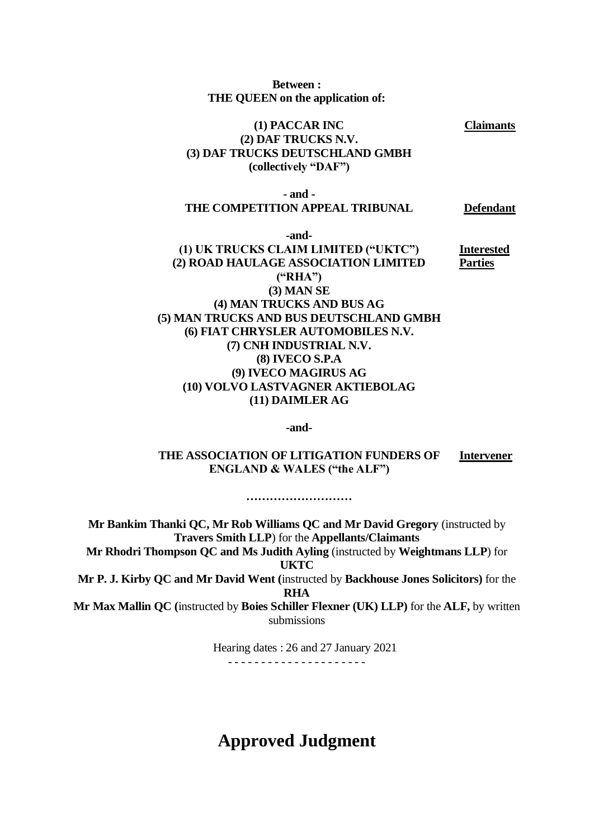**Between : THE QUEEN on the application of:**

# **(1) PACCAR INC (2) DAF TRUCKS N.V. (3) DAF TRUCKS DEUTSCHLAND GMBH (collectively "DAF")**

#### **- and - THE COMPETITION APPEAL TRIBUNAL Defendant**

**-and- (1) UK TRUCKS CLAIM LIMITED ("UKTC") (2) ROAD HAULAGE ASSOCIATION LIMITED ("RHA") (3) MAN SE (4) MAN TRUCKS AND BUS AG (5) MAN TRUCKS AND BUS DEUTSCHLAND GMBH (6) FIAT CHRYSLER AUTOMOBILES N.V. (7) CNH INDUSTRIAL N.V. (8) IVECO S.P.A (9) IVECO MAGIRUS AG (10) VOLVO LASTVAGNER AKTIEBOLAG (11) DAIMLER AG Interested** 

**-and-**

**THE ASSOCIATION OF LITIGATION FUNDERS OF ENGLAND & WALES ("the ALF") Intervener**

**………………………**

**Mr Bankim Thanki QC, Mr Rob Williams QC and Mr David Gregory** (instructed by **Travers Smith LLP**) for the **Appellants/Claimants Mr Rhodri Thompson QC and Ms Judith Ayling** (instructed by **Weightmans LLP**) for **UKTC Mr P. J. Kirby QC and Mr David Went (**instructed by **Backhouse Jones Solicitors)** for the **RHA Mr Max Mallin QC (**instructed by **Boies Schiller Flexner (UK) LLP)** for the **ALF,** by written submissions

> Hearing dates : 26 and 27 January 2021 - - - - - - - - - - - - - - - - - - - - -

# **Approved Judgment**

**Parties**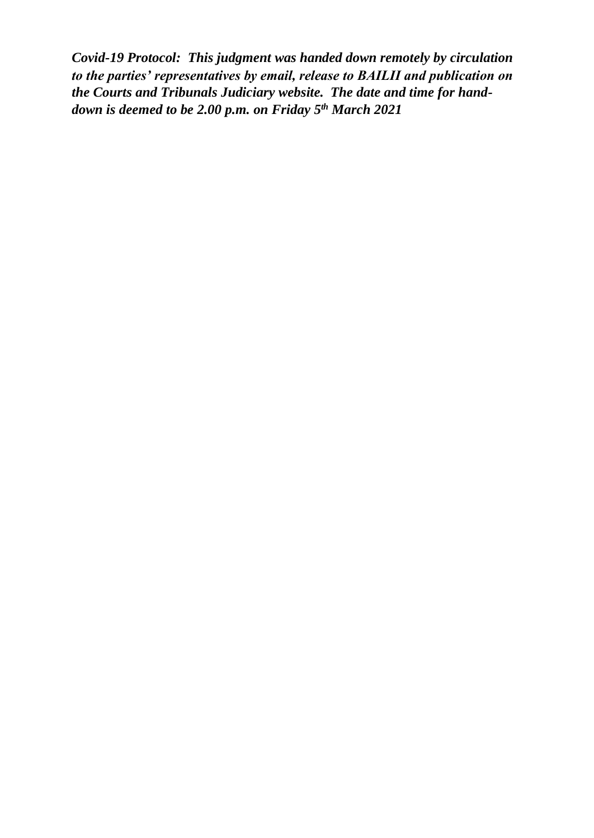*Covid-19 Protocol: This judgment was handed down remotely by circulation to the parties' representatives by email, release to BAILII and publication on the Courts and Tribunals Judiciary website. The date and time for handdown is deemed to be 2.00 p.m. on Friday 5 th March 2021*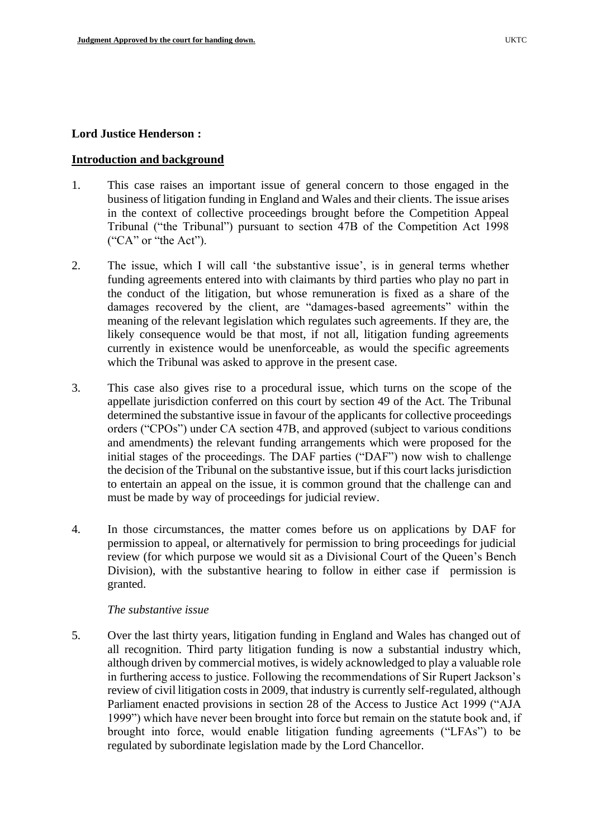#### **Lord Justice Henderson :**

### **Introduction and background**

- 1. This case raises an important issue of general concern to those engaged in the business of litigation funding in England and Wales and their clients. The issue arises in the context of collective proceedings brought before the Competition Appeal Tribunal ("the Tribunal") pursuant to section 47B of the Competition Act 1998 ("CA" or "the Act").
- 2. The issue, which I will call 'the substantive issue', is in general terms whether funding agreements entered into with claimants by third parties who play no part in the conduct of the litigation, but whose remuneration is fixed as a share of the damages recovered by the client, are "damages-based agreements" within the meaning of the relevant legislation which regulates such agreements. If they are, the likely consequence would be that most, if not all, litigation funding agreements currently in existence would be unenforceable, as would the specific agreements which the Tribunal was asked to approve in the present case.
- 3. This case also gives rise to a procedural issue, which turns on the scope of the appellate jurisdiction conferred on this court by section 49 of the Act. The Tribunal determined the substantive issue in favour of the applicants for collective proceedings orders ("CPOs") under CA section 47B, and approved (subject to various conditions and amendments) the relevant funding arrangements which were proposed for the initial stages of the proceedings. The DAF parties ("DAF") now wish to challenge the decision of the Tribunal on the substantive issue, but if this court lacks jurisdiction to entertain an appeal on the issue, it is common ground that the challenge can and must be made by way of proceedings for judicial review.
- 4. In those circumstances, the matter comes before us on applications by DAF for permission to appeal, or alternatively for permission to bring proceedings for judicial review (for which purpose we would sit as a Divisional Court of the Queen's Bench Division), with the substantive hearing to follow in either case if permission is granted.

#### *The substantive issue*

5. Over the last thirty years, litigation funding in England and Wales has changed out of all recognition. Third party litigation funding is now a substantial industry which, although driven by commercial motives, is widely acknowledged to play a valuable role in furthering access to justice. Following the recommendations of Sir Rupert Jackson's review of civil litigation costs in 2009, that industry is currently self-regulated, although Parliament enacted provisions in section 28 of the Access to Justice Act 1999 ("AJA 1999") which have never been brought into force but remain on the statute book and, if brought into force, would enable litigation funding agreements ("LFAs") to be regulated by subordinate legislation made by the Lord Chancellor.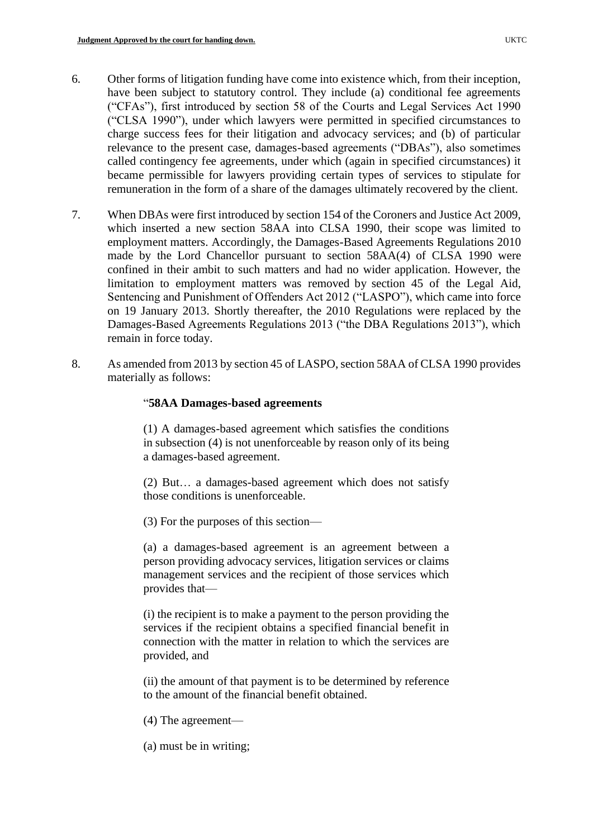- 6. Other forms of litigation funding have come into existence which, from their inception, have been subject to statutory control. They include (a) conditional fee agreements ("CFAs"), first introduced by section 58 of the Courts and Legal Services Act 1990 ("CLSA 1990"), under which lawyers were permitted in specified circumstances to charge success fees for their litigation and advocacy services; and (b) of particular relevance to the present case, damages-based agreements ("DBAs"), also sometimes called contingency fee agreements, under which (again in specified circumstances) it became permissible for lawyers providing certain types of services to stipulate for remuneration in the form of a share of the damages ultimately recovered by the client.
- 7. When DBAs were first introduced by section 154 of the Coroners and Justice Act 2009, which inserted a new section 58AA into CLSA 1990, their scope was limited to employment matters. Accordingly, the Damages-Based Agreements Regulations 2010 made by the Lord Chancellor pursuant to section 58AA(4) of CLSA 1990 were confined in their ambit to such matters and had no wider application. However, the limitation to employment matters was removed by section 45 of the Legal Aid, Sentencing and Punishment of Offenders Act 2012 ("LASPO"), which came into force on 19 January 2013. Shortly thereafter, the 2010 Regulations were replaced by the Damages-Based Agreements Regulations 2013 ("the DBA Regulations 2013"), which remain in force today.
- 8. As amended from 2013 by section 45 of LASPO, section 58AA of CLSA 1990 provides materially as follows:

# "**58AA Damages-based agreements**

(1) A damages-based agreement which satisfies the conditions in subsection (4) is not unenforceable by reason only of its being a damages-based agreement.

(2) But… a damages-based agreement which does not satisfy those conditions is unenforceable.

(3) For the purposes of this section—

(a) a damages-based agreement is an agreement between a person providing advocacy services, litigation services or claims management services and the recipient of those services which provides that—

(i) the recipient is to make a payment to the person providing the services if the recipient obtains a specified financial benefit in connection with the matter in relation to which the services are provided, and

(ii) the amount of that payment is to be determined by reference to the amount of the financial benefit obtained.

- (4) The agreement—
- (a) must be in writing;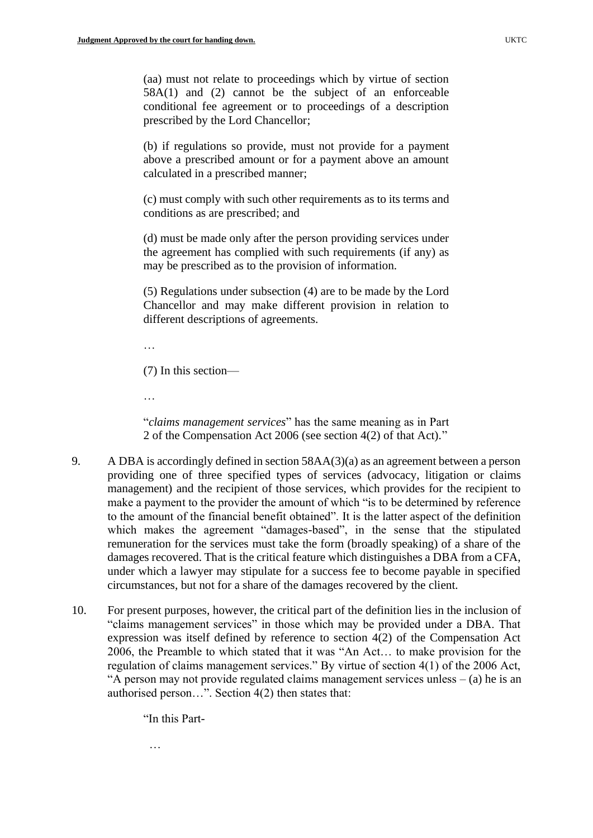(aa) must not relate to proceedings which by virtue of section 58A(1) and (2) cannot be the subject of an enforceable conditional fee agreement or to proceedings of a description prescribed by the Lord Chancellor;

(b) if regulations so provide, must not provide for a payment above a prescribed amount or for a payment above an amount calculated in a prescribed manner;

(c) must comply with such other requirements as to its terms and conditions as are prescribed; and

(d) must be made only after the person providing services under the agreement has complied with such requirements (if any) as may be prescribed as to the provision of information.

(5) Regulations under subsection (4) are to be made by the Lord Chancellor and may make different provision in relation to different descriptions of agreements.

…

(7) In this section—

…

"*claims management services*" has the same meaning as in Part 2 of the Compensation Act 2006 (see section 4(2) of that Act)."

- 9. A DBA is accordingly defined in section 58AA(3)(a) as an agreement between a person providing one of three specified types of services (advocacy, litigation or claims management) and the recipient of those services, which provides for the recipient to make a payment to the provider the amount of which "is to be determined by reference to the amount of the financial benefit obtained". It is the latter aspect of the definition which makes the agreement "damages-based", in the sense that the stipulated remuneration for the services must take the form (broadly speaking) of a share of the damages recovered. That is the critical feature which distinguishes a DBA from a CFA, under which a lawyer may stipulate for a success fee to become payable in specified circumstances, but not for a share of the damages recovered by the client.
- 10. For present purposes, however, the critical part of the definition lies in the inclusion of "claims management services" in those which may be provided under a DBA. That expression was itself defined by reference to section 4(2) of the Compensation Act 2006, the Preamble to which stated that it was "An Act… to make provision for the regulation of claims management services." By virtue of section 4(1) of the 2006 Act, "A person may not provide regulated claims management services unless  $-$  (a) he is an authorised person…". Section 4(2) then states that:

"In this Part-

…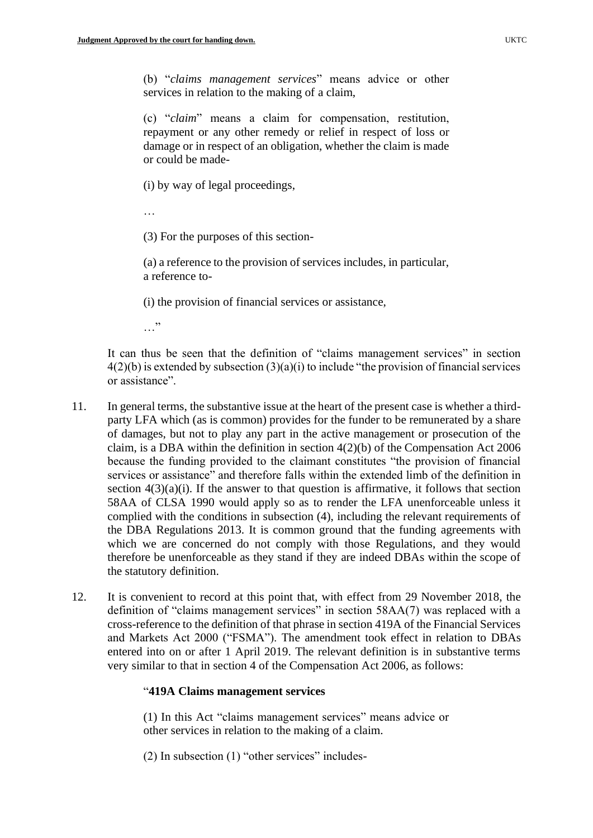(b) "*claims management services*" means advice or other services in relation to the making of a claim,

(c) "*claim*" means a claim for compensation, restitution, repayment or any other remedy or relief in respect of loss or damage or in respect of an obligation, whether the claim is made or could be made-

(i) by way of legal proceedings,

…

(3) For the purposes of this section-

(a) a reference to the provision of services includes, in particular, a reference to-

(i) the provision of financial services or assistance,

…"

It can thus be seen that the definition of "claims management services" in section  $4(2)(b)$  is extended by subsection  $(3)(a)(i)$  to include "the provision of financial services" or assistance".

- 11. In general terms, the substantive issue at the heart of the present case is whether a thirdparty LFA which (as is common) provides for the funder to be remunerated by a share of damages, but not to play any part in the active management or prosecution of the claim, is a DBA within the definition in section 4(2)(b) of the Compensation Act 2006 because the funding provided to the claimant constitutes "the provision of financial services or assistance" and therefore falls within the extended limb of the definition in section  $4(3)(a)(i)$ . If the answer to that question is affirmative, it follows that section 58AA of CLSA 1990 would apply so as to render the LFA unenforceable unless it complied with the conditions in subsection (4), including the relevant requirements of the DBA Regulations 2013. It is common ground that the funding agreements with which we are concerned do not comply with those Regulations, and they would therefore be unenforceable as they stand if they are indeed DBAs within the scope of the statutory definition.
- 12. It is convenient to record at this point that, with effect from 29 November 2018, the definition of "claims management services" in section 58AA(7) was replaced with a cross-reference to the definition of that phrase in section 419A of the Financial Services and Markets Act 2000 ("FSMA"). The amendment took effect in relation to DBAs entered into on or after 1 April 2019. The relevant definition is in substantive terms very similar to that in section 4 of the Compensation Act 2006, as follows:

### "**419A Claims management services**

(1) In this Act "claims management services" means advice or other services in relation to the making of a claim.

(2) In subsection (1) "other services" includes-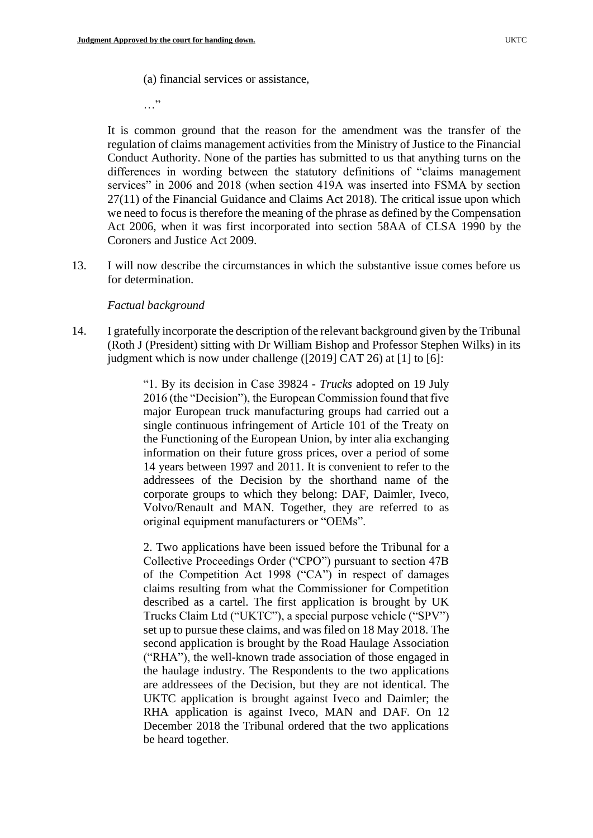(a) financial services or assistance,

…"

It is common ground that the reason for the amendment was the transfer of the regulation of claims management activities from the Ministry of Justice to the Financial Conduct Authority. None of the parties has submitted to us that anything turns on the differences in wording between the statutory definitions of "claims management services" in 2006 and 2018 (when section 419A was inserted into FSMA by section 27(11) of the Financial Guidance and Claims Act 2018). The critical issue upon which we need to focus is therefore the meaning of the phrase as defined by the Compensation Act 2006, when it was first incorporated into section 58AA of CLSA 1990 by the Coroners and Justice Act 2009.

13. I will now describe the circumstances in which the substantive issue comes before us for determination.

#### *Factual background*

14. I gratefully incorporate the description of the relevant background given by the Tribunal (Roth J (President) sitting with Dr William Bishop and Professor Stephen Wilks) in its judgment which is now under challenge ([2019] CAT 26) at [1] to [6]:

> "1. By its decision in Case 39824 - *Trucks* adopted on 19 July 2016 (the "Decision"), the European Commission found that five major European truck manufacturing groups had carried out a single continuous infringement of Article 101 of the Treaty on the Functioning of the European Union, by inter alia exchanging information on their future gross prices, over a period of some 14 years between 1997 and 2011. It is convenient to refer to the addressees of the Decision by the shorthand name of the corporate groups to which they belong: DAF, Daimler, Iveco, Volvo/Renault and MAN. Together, they are referred to as original equipment manufacturers or "OEMs".

> 2. Two applications have been issued before the Tribunal for a Collective Proceedings Order ("CPO") pursuant to section 47B of the Competition Act 1998 ("CA") in respect of damages claims resulting from what the Commissioner for Competition described as a cartel. The first application is brought by UK Trucks Claim Ltd ("UKTC"), a special purpose vehicle ("SPV") set up to pursue these claims, and was filed on 18 May 2018. The second application is brought by the Road Haulage Association ("RHA"), the well-known trade association of those engaged in the haulage industry. The Respondents to the two applications are addressees of the Decision, but they are not identical. The UKTC application is brought against Iveco and Daimler; the RHA application is against Iveco, MAN and DAF. On 12 December 2018 the Tribunal ordered that the two applications be heard together.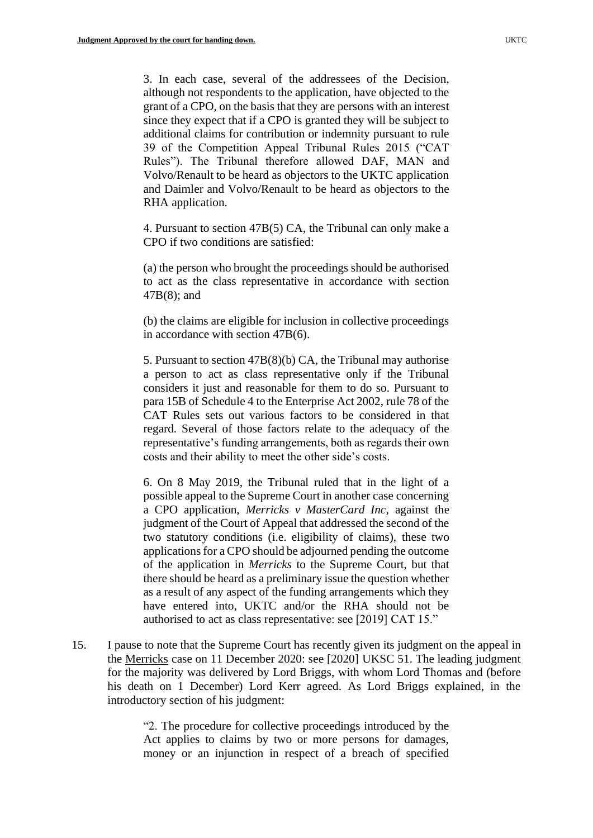3. In each case, several of the addressees of the Decision, although not respondents to the application, have objected to the grant of a CPO, on the basis that they are persons with an interest since they expect that if a CPO is granted they will be subject to additional claims for contribution or indemnity pursuant to rule 39 of the Competition Appeal Tribunal Rules 2015 ("CAT Rules"). The Tribunal therefore allowed DAF, MAN and Volvo/Renault to be heard as objectors to the UKTC application and Daimler and Volvo/Renault to be heard as objectors to the RHA application.

4. Pursuant to section 47B(5) CA, the Tribunal can only make a CPO if two conditions are satisfied:

(a) the person who brought the proceedings should be authorised to act as the class representative in accordance with section 47B(8); and

(b) the claims are eligible for inclusion in collective proceedings in accordance with section 47B(6).

5. Pursuant to section 47B(8)(b) CA, the Tribunal may authorise a person to act as class representative only if the Tribunal considers it just and reasonable for them to do so. Pursuant to para 15B of Schedule 4 to the Enterprise Act 2002, rule 78 of the CAT Rules sets out various factors to be considered in that regard. Several of those factors relate to the adequacy of the representative's funding arrangements, both as regards their own costs and their ability to meet the other side's costs.

6. On 8 May 2019, the Tribunal ruled that in the light of a possible appeal to the Supreme Court in another case concerning a CPO application, *Merricks v MasterCard Inc*, against the judgment of the Court of Appeal that addressed the second of the two statutory conditions (i.e. eligibility of claims), these two applications for a CPO should be adjourned pending the outcome of the application in *Merricks* to the Supreme Court, but that there should be heard as a preliminary issue the question whether as a result of any aspect of the funding arrangements which they have entered into, UKTC and/or the RHA should not be authorised to act as class representative: see [2019] CAT 15."

15. I pause to note that the Supreme Court has recently given its judgment on the appeal in the Merricks case on 11 December 2020: see [2020] UKSC 51. The leading judgment for the majority was delivered by Lord Briggs, with whom Lord Thomas and (before his death on 1 December) Lord Kerr agreed. As Lord Briggs explained, in the introductory section of his judgment:

> "2. The procedure for collective proceedings introduced by the Act applies to claims by two or more persons for damages, money or an injunction in respect of a breach of specified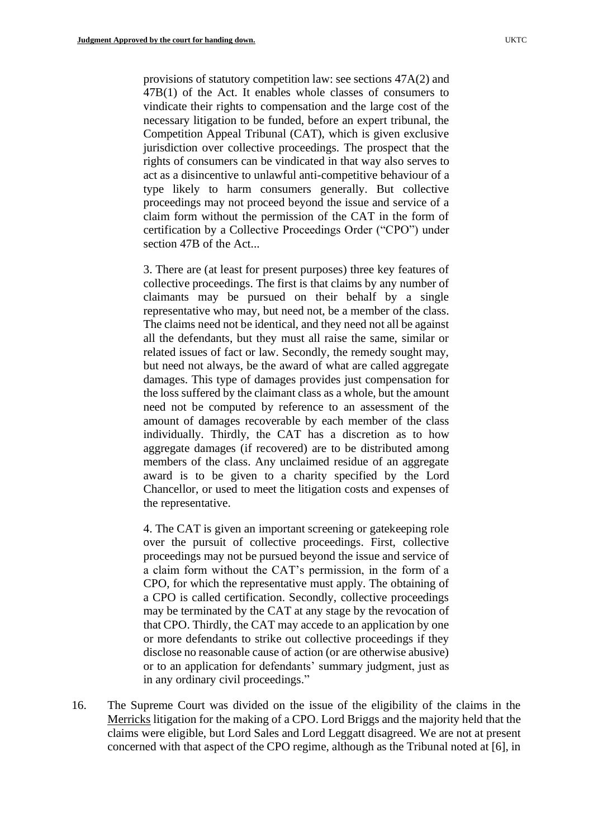provisions of statutory competition law: see sections 47A(2) and 47B(1) of the Act. It enables whole classes of consumers to vindicate their rights to compensation and the large cost of the necessary litigation to be funded, before an expert tribunal, the Competition Appeal Tribunal (CAT), which is given exclusive jurisdiction over collective proceedings. The prospect that the rights of consumers can be vindicated in that way also serves to act as a disincentive to unlawful anti-competitive behaviour of a type likely to harm consumers generally. But collective proceedings may not proceed beyond the issue and service of a claim form without the permission of the CAT in the form of certification by a Collective Proceedings Order ("CPO") under section 47B of the Act...

3. There are (at least for present purposes) three key features of collective proceedings. The first is that claims by any number of claimants may be pursued on their behalf by a single representative who may, but need not, be a member of the class. The claims need not be identical, and they need not all be against all the defendants, but they must all raise the same, similar or related issues of fact or law. Secondly, the remedy sought may, but need not always, be the award of what are called aggregate damages. This type of damages provides just compensation for the loss suffered by the claimant class as a whole, but the amount need not be computed by reference to an assessment of the amount of damages recoverable by each member of the class individually. Thirdly, the CAT has a discretion as to how aggregate damages (if recovered) are to be distributed among members of the class. Any unclaimed residue of an aggregate award is to be given to a charity specified by the Lord Chancellor, or used to meet the litigation costs and expenses of the representative.

4. The CAT is given an important screening or gatekeeping role over the pursuit of collective proceedings. First, collective proceedings may not be pursued beyond the issue and service of a claim form without the CAT's permission, in the form of a CPO, for which the representative must apply. The obtaining of a CPO is called certification. Secondly, collective proceedings may be terminated by the CAT at any stage by the revocation of that CPO. Thirdly, the CAT may accede to an application by one or more defendants to strike out collective proceedings if they disclose no reasonable cause of action (or are otherwise abusive) or to an application for defendants' summary judgment, just as in any ordinary civil proceedings."

16. The Supreme Court was divided on the issue of the eligibility of the claims in the Merricks litigation for the making of a CPO. Lord Briggs and the majority held that the claims were eligible, but Lord Sales and Lord Leggatt disagreed. We are not at present concerned with that aspect of the CPO regime, although as the Tribunal noted at [6], in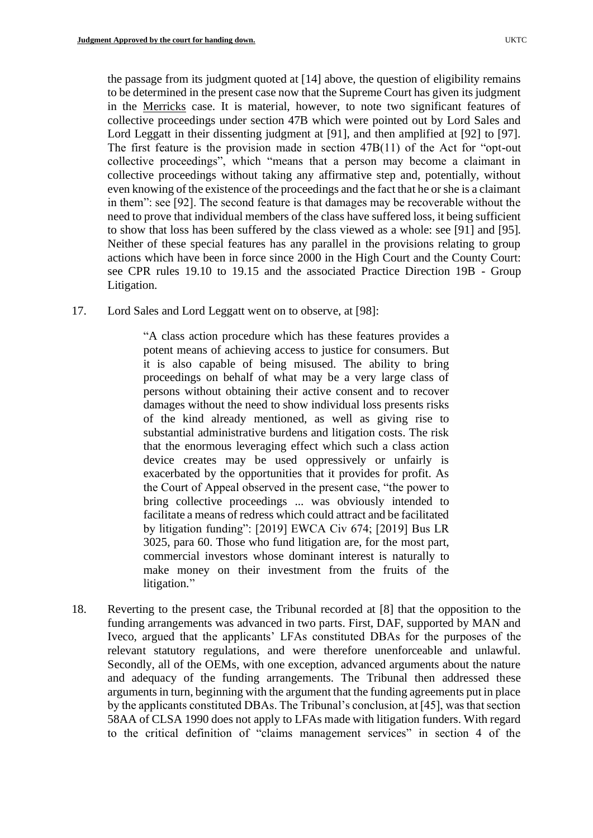the passage from its judgment quoted at [14] above, the question of eligibility remains to be determined in the present case now that the Supreme Court has given its judgment in the Merricks case. It is material, however, to note two significant features of collective proceedings under section 47B which were pointed out by Lord Sales and Lord Leggatt in their dissenting judgment at [91], and then amplified at [92] to [97]. The first feature is the provision made in section 47B(11) of the Act for "opt-out collective proceedings", which "means that a person may become a claimant in collective proceedings without taking any affirmative step and, potentially, without even knowing of the existence of the proceedings and the fact that he or she is a claimant in them": see [92]. The second feature is that damages may be recoverable without the need to prove that individual members of the class have suffered loss, it being sufficient to show that loss has been suffered by the class viewed as a whole: see [91] and [95]. Neither of these special features has any parallel in the provisions relating to group actions which have been in force since 2000 in the High Court and the County Court: see CPR rules 19.10 to 19.15 and the associated Practice Direction 19B - Group Litigation.

17. Lord Sales and Lord Leggatt went on to observe, at [98]:

"A class action procedure which has these features provides a potent means of achieving access to justice for consumers. But it is also capable of being misused. The ability to bring proceedings on behalf of what may be a very large class of persons without obtaining their active consent and to recover damages without the need to show individual loss presents risks of the kind already mentioned, as well as giving rise to substantial administrative burdens and litigation costs. The risk that the enormous leveraging effect which such a class action device creates may be used oppressively or unfairly is exacerbated by the opportunities that it provides for profit. As the Court of Appeal observed in the present case, "the power to bring collective proceedings ... was obviously intended to facilitate a means of redress which could attract and be facilitated by litigation funding": [2019] EWCA Civ 674; [2019] Bus LR 3025, para 60. Those who fund litigation are, for the most part, commercial investors whose dominant interest is naturally to make money on their investment from the fruits of the litigation."

18. Reverting to the present case, the Tribunal recorded at [8] that the opposition to the funding arrangements was advanced in two parts. First, DAF, supported by MAN and Iveco, argued that the applicants' LFAs constituted DBAs for the purposes of the relevant statutory regulations, and were therefore unenforceable and unlawful. Secondly, all of the OEMs, with one exception, advanced arguments about the nature and adequacy of the funding arrangements. The Tribunal then addressed these arguments in turn, beginning with the argument that the funding agreements put in place by the applicants constituted DBAs. The Tribunal's conclusion, at [45], was that section 58AA of CLSA 1990 does not apply to LFAs made with litigation funders. With regard to the critical definition of "claims management services" in section 4 of the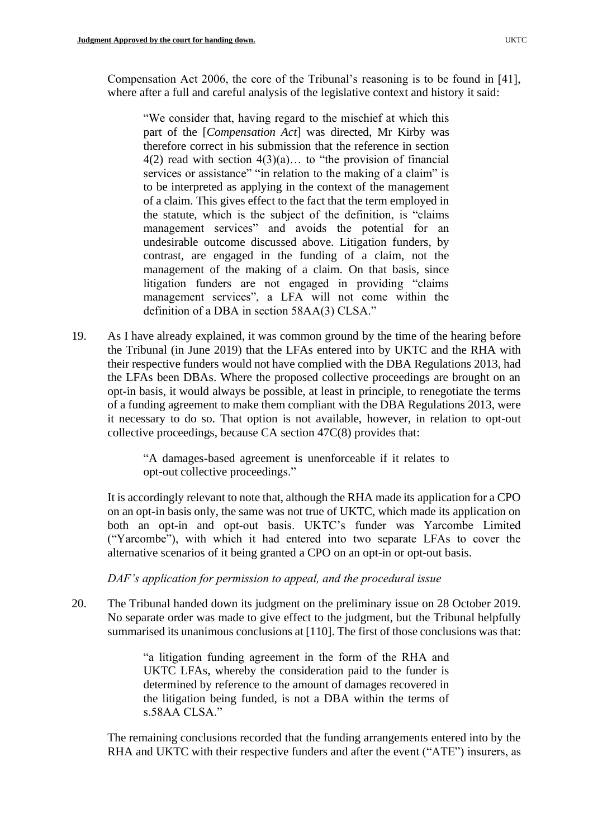Compensation Act 2006, the core of the Tribunal's reasoning is to be found in [41], where after a full and careful analysis of the legislative context and history it said:

"We consider that, having regard to the mischief at which this part of the [*Compensation Act*] was directed, Mr Kirby was therefore correct in his submission that the reference in section  $4(2)$  read with section  $4(3)(a)$ ... to "the provision of financial services or assistance" "in relation to the making of a claim" is to be interpreted as applying in the context of the management of a claim. This gives effect to the fact that the term employed in the statute, which is the subject of the definition, is "claims management services" and avoids the potential for an undesirable outcome discussed above. Litigation funders, by contrast, are engaged in the funding of a claim, not the management of the making of a claim. On that basis, since litigation funders are not engaged in providing "claims management services", a LFA will not come within the definition of a DBA in section 58AA(3) CLSA."

19. As I have already explained, it was common ground by the time of the hearing before the Tribunal (in June 2019) that the LFAs entered into by UKTC and the RHA with their respective funders would not have complied with the DBA Regulations 2013, had the LFAs been DBAs. Where the proposed collective proceedings are brought on an opt-in basis, it would always be possible, at least in principle, to renegotiate the terms of a funding agreement to make them compliant with the DBA Regulations 2013, were it necessary to do so. That option is not available, however, in relation to opt-out collective proceedings, because CA section 47C(8) provides that:

> "A damages-based agreement is unenforceable if it relates to opt-out collective proceedings."

It is accordingly relevant to note that, although the RHA made its application for a CPO on an opt-in basis only, the same was not true of UKTC, which made its application on both an opt-in and opt-out basis. UKTC's funder was Yarcombe Limited ("Yarcombe"), with which it had entered into two separate LFAs to cover the alternative scenarios of it being granted a CPO on an opt-in or opt-out basis.

*DAF's application for permission to appeal, and the procedural issue*

20. The Tribunal handed down its judgment on the preliminary issue on 28 October 2019. No separate order was made to give effect to the judgment, but the Tribunal helpfully summarised its unanimous conclusions at [110]. The first of those conclusions was that:

> "a litigation funding agreement in the form of the RHA and UKTC LFAs, whereby the consideration paid to the funder is determined by reference to the amount of damages recovered in the litigation being funded, is not a DBA within the terms of s.58AA CLSA."

The remaining conclusions recorded that the funding arrangements entered into by the RHA and UKTC with their respective funders and after the event ("ATE") insurers, as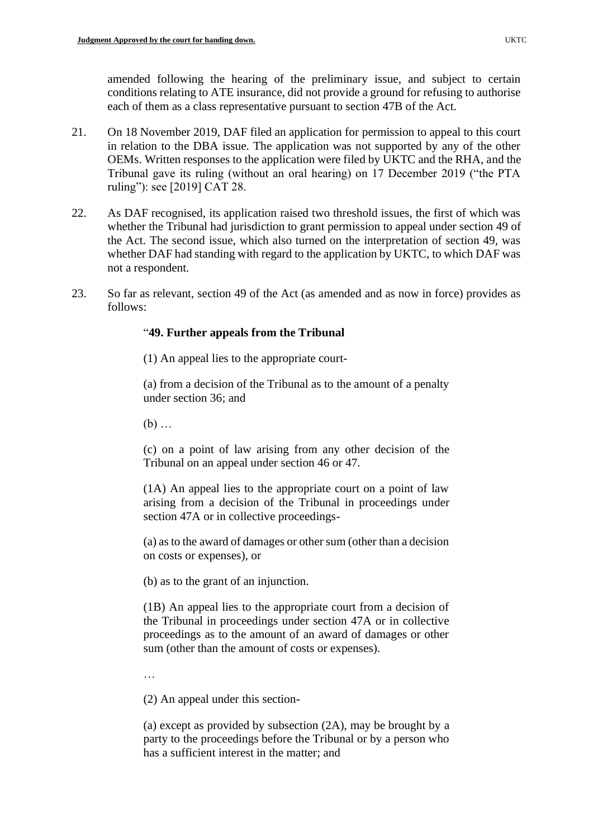amended following the hearing of the preliminary issue, and subject to certain conditions relating to ATE insurance, did not provide a ground for refusing to authorise each of them as a class representative pursuant to section 47B of the Act.

- 21. On 18 November 2019, DAF filed an application for permission to appeal to this court in relation to the DBA issue. The application was not supported by any of the other OEMs. Written responses to the application were filed by UKTC and the RHA, and the Tribunal gave its ruling (without an oral hearing) on 17 December 2019 ("the PTA ruling"): see [2019] CAT 28.
- 22. As DAF recognised, its application raised two threshold issues, the first of which was whether the Tribunal had jurisdiction to grant permission to appeal under section 49 of the Act. The second issue, which also turned on the interpretation of section 49, was whether DAF had standing with regard to the application by UKTC, to which DAF was not a respondent.
- 23. So far as relevant, section 49 of the Act (as amended and as now in force) provides as follows:

# "**49. Further appeals from the Tribunal**

(1) An appeal lies to the appropriate court-

(a) from a decision of the Tribunal as to the amount of a penalty under section 36; and

(b) …

(c) on a point of law arising from any other decision of the Tribunal on an appeal under section 46 or 47.

(1A) An appeal lies to the appropriate court on a point of law arising from a decision of the Tribunal in proceedings under section 47A or in collective proceedings-

(a) as to the award of damages or other sum (other than a decision on costs or expenses), or

(b) as to the grant of an injunction.

(1B) An appeal lies to the appropriate court from a decision of the Tribunal in proceedings under section 47A or in collective proceedings as to the amount of an award of damages or other sum (other than the amount of costs or expenses).

…

(2) An appeal under this section-

(a) except as provided by subsection (2A), may be brought by a party to the proceedings before the Tribunal or by a person who has a sufficient interest in the matter; and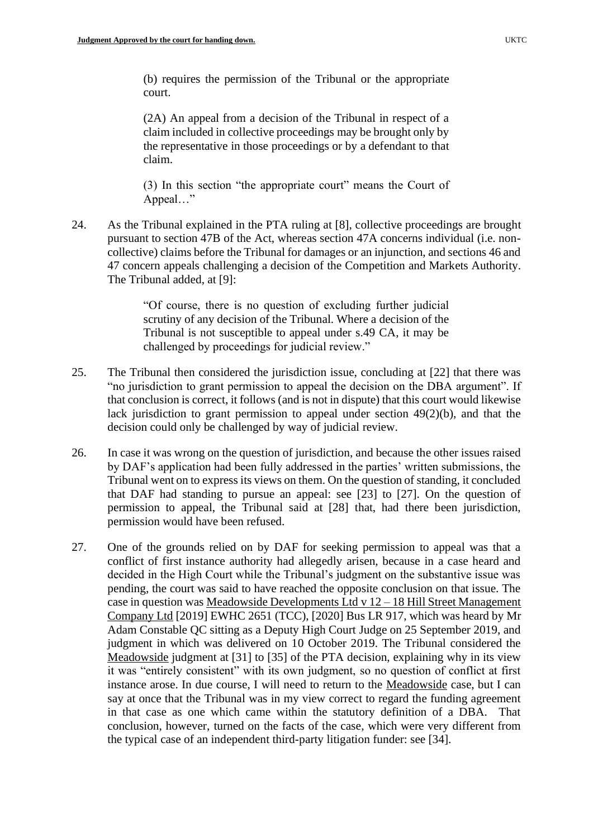(b) requires the permission of the Tribunal or the appropriate court.

(2A) An appeal from a decision of the Tribunal in respect of a claim included in collective proceedings may be brought only by the representative in those proceedings or by a defendant to that claim.

(3) In this section "the appropriate court" means the Court of Appeal…"

24. As the Tribunal explained in the PTA ruling at [8], collective proceedings are brought pursuant to section 47B of the Act, whereas section 47A concerns individual (i.e. noncollective) claims before the Tribunal for damages or an injunction, and sections 46 and 47 concern appeals challenging a decision of the Competition and Markets Authority. The Tribunal added, at [9]:

> "Of course, there is no question of excluding further judicial scrutiny of any decision of the Tribunal. Where a decision of the Tribunal is not susceptible to appeal under s.49 CA, it may be challenged by proceedings for judicial review."

- 25. The Tribunal then considered the jurisdiction issue, concluding at [22] that there was "no jurisdiction to grant permission to appeal the decision on the DBA argument". If that conclusion is correct, it follows (and is not in dispute) that this court would likewise lack jurisdiction to grant permission to appeal under section 49(2)(b), and that the decision could only be challenged by way of judicial review.
- 26. In case it was wrong on the question of jurisdiction, and because the other issues raised by DAF's application had been fully addressed in the parties' written submissions, the Tribunal went on to express its views on them. On the question of standing, it concluded that DAF had standing to pursue an appeal: see [23] to [27]. On the question of permission to appeal, the Tribunal said at [28] that, had there been jurisdiction, permission would have been refused.
- 27. One of the grounds relied on by DAF for seeking permission to appeal was that a conflict of first instance authority had allegedly arisen, because in a case heard and decided in the High Court while the Tribunal's judgment on the substantive issue was pending, the court was said to have reached the opposite conclusion on that issue. The case in question was Meadowside Developments Ltd v 12 – 18 Hill Street Management Company Ltd [2019] EWHC 2651 (TCC), [2020] Bus LR 917, which was heard by Mr Adam Constable QC sitting as a Deputy High Court Judge on 25 September 2019, and judgment in which was delivered on 10 October 2019. The Tribunal considered the Meadowside judgment at [31] to [35] of the PTA decision, explaining why in its view it was "entirely consistent" with its own judgment, so no question of conflict at first instance arose. In due course, I will need to return to the Meadowside case, but I can say at once that the Tribunal was in my view correct to regard the funding agreement in that case as one which came within the statutory definition of a DBA. That conclusion, however, turned on the facts of the case, which were very different from the typical case of an independent third-party litigation funder: see [34].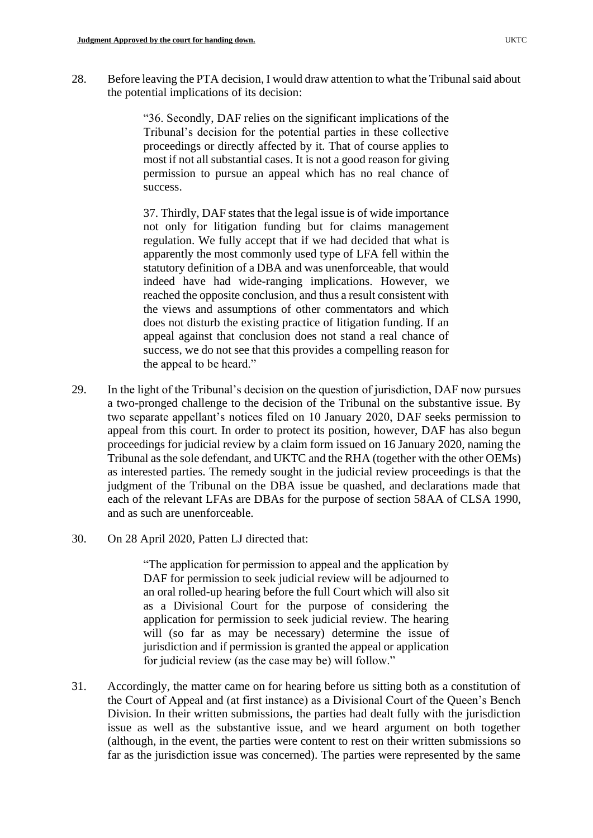28. Before leaving the PTA decision, I would draw attention to what the Tribunal said about the potential implications of its decision:

> "36. Secondly, DAF relies on the significant implications of the Tribunal's decision for the potential parties in these collective proceedings or directly affected by it. That of course applies to most if not all substantial cases. It is not a good reason for giving permission to pursue an appeal which has no real chance of success.

> 37. Thirdly, DAF states that the legal issue is of wide importance not only for litigation funding but for claims management regulation. We fully accept that if we had decided that what is apparently the most commonly used type of LFA fell within the statutory definition of a DBA and was unenforceable, that would indeed have had wide-ranging implications. However, we reached the opposite conclusion, and thus a result consistent with the views and assumptions of other commentators and which does not disturb the existing practice of litigation funding. If an appeal against that conclusion does not stand a real chance of success, we do not see that this provides a compelling reason for the appeal to be heard."

- 29. In the light of the Tribunal's decision on the question of jurisdiction, DAF now pursues a two-pronged challenge to the decision of the Tribunal on the substantive issue. By two separate appellant's notices filed on 10 January 2020, DAF seeks permission to appeal from this court. In order to protect its position, however, DAF has also begun proceedings for judicial review by a claim form issued on 16 January 2020, naming the Tribunal as the sole defendant, and UKTC and the RHA (together with the other OEMs) as interested parties. The remedy sought in the judicial review proceedings is that the judgment of the Tribunal on the DBA issue be quashed, and declarations made that each of the relevant LFAs are DBAs for the purpose of section 58AA of CLSA 1990, and as such are unenforceable.
- 30. On 28 April 2020, Patten LJ directed that:

"The application for permission to appeal and the application by DAF for permission to seek judicial review will be adjourned to an oral rolled-up hearing before the full Court which will also sit as a Divisional Court for the purpose of considering the application for permission to seek judicial review. The hearing will (so far as may be necessary) determine the issue of jurisdiction and if permission is granted the appeal or application for judicial review (as the case may be) will follow."

31. Accordingly, the matter came on for hearing before us sitting both as a constitution of the Court of Appeal and (at first instance) as a Divisional Court of the Queen's Bench Division. In their written submissions, the parties had dealt fully with the jurisdiction issue as well as the substantive issue, and we heard argument on both together (although, in the event, the parties were content to rest on their written submissions so far as the jurisdiction issue was concerned). The parties were represented by the same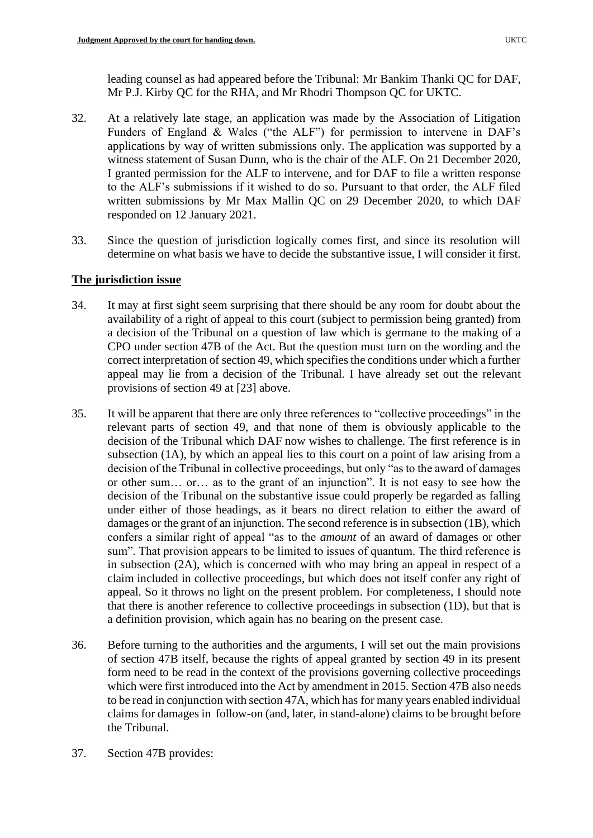leading counsel as had appeared before the Tribunal: Mr Bankim Thanki QC for DAF, Mr P.J. Kirby QC for the RHA, and Mr Rhodri Thompson QC for UKTC.

- 32. At a relatively late stage, an application was made by the Association of Litigation Funders of England & Wales ("the ALF") for permission to intervene in DAF's applications by way of written submissions only. The application was supported by a witness statement of Susan Dunn, who is the chair of the ALF. On 21 December 2020, I granted permission for the ALF to intervene, and for DAF to file a written response to the ALF's submissions if it wished to do so. Pursuant to that order, the ALF filed written submissions by Mr Max Mallin QC on 29 December 2020, to which DAF responded on 12 January 2021.
- 33. Since the question of jurisdiction logically comes first, and since its resolution will determine on what basis we have to decide the substantive issue, I will consider it first.

# **The jurisdiction issue**

- 34. It may at first sight seem surprising that there should be any room for doubt about the availability of a right of appeal to this court (subject to permission being granted) from a decision of the Tribunal on a question of law which is germane to the making of a CPO under section 47B of the Act. But the question must turn on the wording and the correct interpretation of section 49, which specifies the conditions under which a further appeal may lie from a decision of the Tribunal. I have already set out the relevant provisions of section 49 at [23] above.
- 35. It will be apparent that there are only three references to "collective proceedings" in the relevant parts of section 49, and that none of them is obviously applicable to the decision of the Tribunal which DAF now wishes to challenge. The first reference is in subsection (1A), by which an appeal lies to this court on a point of law arising from a decision of the Tribunal in collective proceedings, but only "as to the award of damages or other sum… or… as to the grant of an injunction". It is not easy to see how the decision of the Tribunal on the substantive issue could properly be regarded as falling under either of those headings, as it bears no direct relation to either the award of damages or the grant of an injunction. The second reference is in subsection (1B), which confers a similar right of appeal "as to the *amount* of an award of damages or other sum". That provision appears to be limited to issues of quantum. The third reference is in subsection (2A), which is concerned with who may bring an appeal in respect of a claim included in collective proceedings, but which does not itself confer any right of appeal. So it throws no light on the present problem. For completeness, I should note that there is another reference to collective proceedings in subsection (1D), but that is a definition provision, which again has no bearing on the present case.
- 36. Before turning to the authorities and the arguments, I will set out the main provisions of section 47B itself, because the rights of appeal granted by section 49 in its present form need to be read in the context of the provisions governing collective proceedings which were first introduced into the Act by amendment in 2015. Section 47B also needs to be read in conjunction with section 47A, which has for many years enabled individual claims for damages in follow-on (and, later, in stand-alone) claims to be brought before the Tribunal.
- 37. Section 47B provides: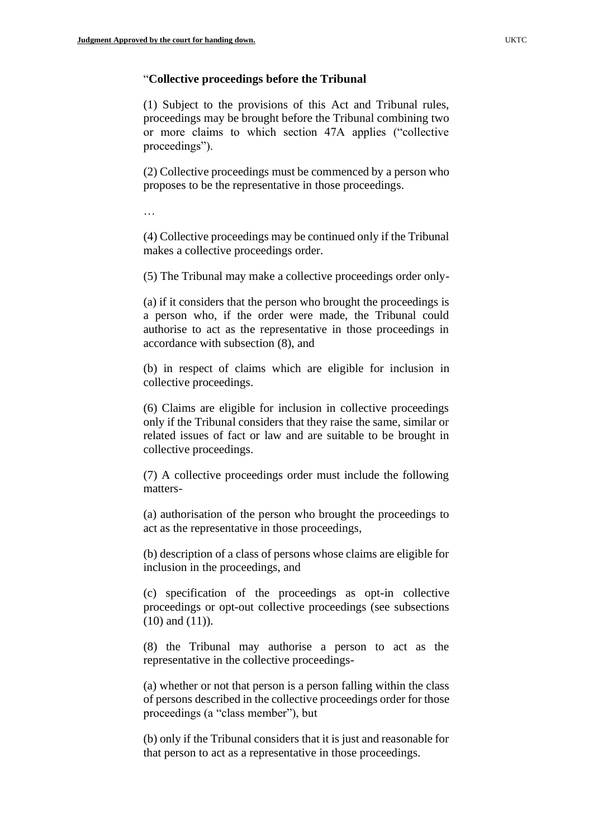## "**Collective proceedings before the Tribunal**

(1) Subject to the provisions of this Act and Tribunal rules, proceedings may be brought before the Tribunal combining two or more claims to which section 47A applies ("collective proceedings").

(2) Collective proceedings must be commenced by a person who proposes to be the representative in those proceedings.

…

(4) Collective proceedings may be continued only if the Tribunal makes a collective proceedings order.

(5) The Tribunal may make a collective proceedings order only-

(a) if it considers that the person who brought the proceedings is a person who, if the order were made, the Tribunal could authorise to act as the representative in those proceedings in accordance with subsection (8), and

(b) in respect of claims which are eligible for inclusion in collective proceedings.

(6) Claims are eligible for inclusion in collective proceedings only if the Tribunal considers that they raise the same, similar or related issues of fact or law and are suitable to be brought in collective proceedings.

(7) A collective proceedings order must include the following matters-

(a) authorisation of the person who brought the proceedings to act as the representative in those proceedings,

(b) description of a class of persons whose claims are eligible for inclusion in the proceedings, and

(c) specification of the proceedings as opt-in collective proceedings or opt-out collective proceedings (see subsections (10) and (11)).

(8) the Tribunal may authorise a person to act as the representative in the collective proceedings-

(a) whether or not that person is a person falling within the class of persons described in the collective proceedings order for those proceedings (a "class member"), but

(b) only if the Tribunal considers that it is just and reasonable for that person to act as a representative in those proceedings.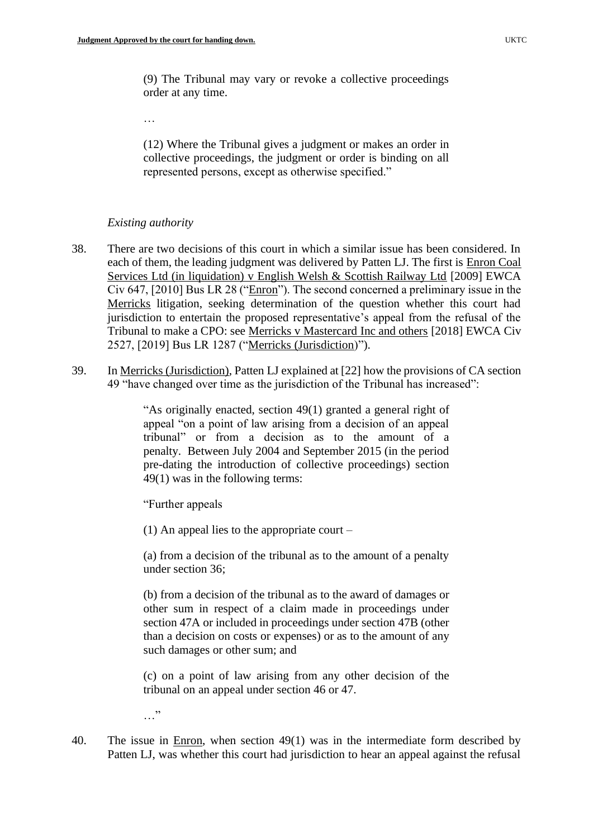(9) The Tribunal may vary or revoke a collective proceedings order at any time.

(12) Where the Tribunal gives a judgment or makes an order in collective proceedings, the judgment or order is binding on all represented persons, except as otherwise specified."

### *Existing authority*

…

- 38. There are two decisions of this court in which a similar issue has been considered. In each of them, the leading judgment was delivered by Patten LJ. The first is Enron Coal Services Ltd (in liquidation) v English Welsh & Scottish Railway Ltd [2009] EWCA Civ 647, [2010] Bus LR 28 ("Enron"). The second concerned a preliminary issue in the Merricks litigation, seeking determination of the question whether this court had jurisdiction to entertain the proposed representative's appeal from the refusal of the Tribunal to make a CPO: see Merricks v Mastercard Inc and others [2018] EWCA Civ 2527, [2019] Bus LR 1287 ("Merricks (Jurisdiction)").
- 39. In Merricks (Jurisdiction), Patten LJ explained at [22] how the provisions of CA section 49 "have changed over time as the jurisdiction of the Tribunal has increased":

"As originally enacted, section 49(1) granted a general right of appeal "on a point of law arising from a decision of an appeal tribunal" or from a decision as to the amount of a penalty. Between July 2004 and September 2015 (in the period pre-dating the introduction of collective proceedings) section 49(1) was in the following terms:

"Further appeals

(1) An appeal lies to the appropriate court –

(a) from a decision of the tribunal as to the amount of a penalty under section 36;

(b) from a decision of the tribunal as to the award of damages or other sum in respect of a claim made in proceedings under section 47A or included in proceedings under section 47B (other than a decision on costs or expenses) or as to the amount of any such damages or other sum; and

(c) on a point of law arising from any other decision of the tribunal on an appeal under section 46 or 47.

…"

40. The issue in Enron, when section 49(1) was in the intermediate form described by Patten LJ, was whether this court had jurisdiction to hear an appeal against the refusal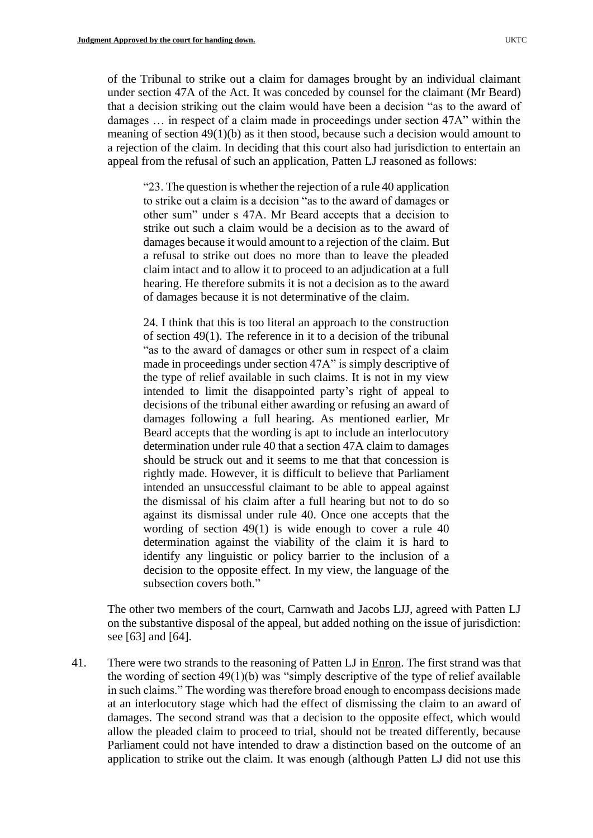of the Tribunal to strike out a claim for damages brought by an individual claimant under section 47A of the Act. It was conceded by counsel for the claimant (Mr Beard) that a decision striking out the claim would have been a decision "as to the award of damages … in respect of a claim made in proceedings under section 47A" within the meaning of section 49(1)(b) as it then stood, because such a decision would amount to a rejection of the claim. In deciding that this court also had jurisdiction to entertain an appeal from the refusal of such an application, Patten LJ reasoned as follows:

"23. The question is whether the rejection of a rule 40 application to strike out a claim is a decision "as to the award of damages or other sum" under s 47A. Mr Beard accepts that a decision to strike out such a claim would be a decision as to the award of damages because it would amount to a rejection of the claim. But a refusal to strike out does no more than to leave the pleaded claim intact and to allow it to proceed to an adjudication at a full hearing. He therefore submits it is not a decision as to the award of damages because it is not determinative of the claim.

24. I think that this is too literal an approach to the construction of section 49(1). The reference in it to a decision of the tribunal "as to the award of damages or other sum in respect of a claim made in proceedings under section 47A" is simply descriptive of the type of relief available in such claims. It is not in my view intended to limit the disappointed party's right of appeal to decisions of the tribunal either awarding or refusing an award of damages following a full hearing. As mentioned earlier, Mr Beard accepts that the wording is apt to include an interlocutory determination under rule 40 that a section 47A claim to damages should be struck out and it seems to me that that concession is rightly made. However, it is difficult to believe that Parliament intended an unsuccessful claimant to be able to appeal against the dismissal of his claim after a full hearing but not to do so against its dismissal under rule 40. Once one accepts that the wording of section 49(1) is wide enough to cover a rule 40 determination against the viability of the claim it is hard to identify any linguistic or policy barrier to the inclusion of a decision to the opposite effect. In my view, the language of the subsection covers both."

The other two members of the court, Carnwath and Jacobs LJJ, agreed with Patten LJ on the substantive disposal of the appeal, but added nothing on the issue of jurisdiction: see [63] and [64].

41. There were two strands to the reasoning of Patten LJ in Enron. The first strand was that the wording of section 49(1)(b) was "simply descriptive of the type of relief available in such claims." The wording was therefore broad enough to encompass decisions made at an interlocutory stage which had the effect of dismissing the claim to an award of damages. The second strand was that a decision to the opposite effect, which would allow the pleaded claim to proceed to trial, should not be treated differently, because Parliament could not have intended to draw a distinction based on the outcome of an application to strike out the claim. It was enough (although Patten LJ did not use this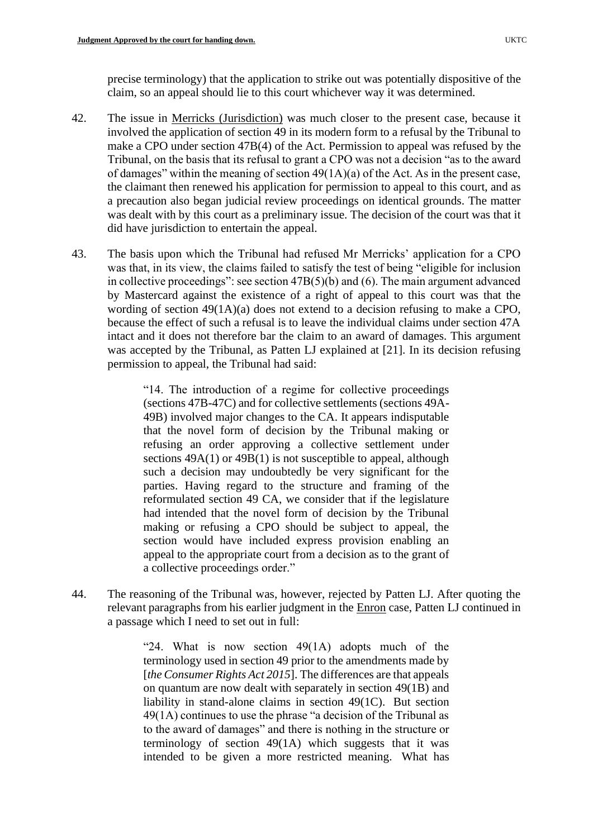precise terminology) that the application to strike out was potentially dispositive of the claim, so an appeal should lie to this court whichever way it was determined.

- 42. The issue in Merricks (Jurisdiction) was much closer to the present case, because it involved the application of section 49 in its modern form to a refusal by the Tribunal to make a CPO under section 47B(4) of the Act. Permission to appeal was refused by the Tribunal, on the basis that its refusal to grant a CPO was not a decision "as to the award of damages" within the meaning of section 49(1A)(a) of the Act. As in the present case, the claimant then renewed his application for permission to appeal to this court, and as a precaution also began judicial review proceedings on identical grounds. The matter was dealt with by this court as a preliminary issue. The decision of the court was that it did have jurisdiction to entertain the appeal.
- 43. The basis upon which the Tribunal had refused Mr Merricks' application for a CPO was that, in its view, the claims failed to satisfy the test of being "eligible for inclusion in collective proceedings": see section 47B(5)(b) and (6). The main argument advanced by Mastercard against the existence of a right of appeal to this court was that the wording of section 49(1A)(a) does not extend to a decision refusing to make a CPO, because the effect of such a refusal is to leave the individual claims under section 47A intact and it does not therefore bar the claim to an award of damages. This argument was accepted by the Tribunal, as Patten LJ explained at [21]. In its decision refusing permission to appeal, the Tribunal had said:

"14. The introduction of a regime for collective proceedings (sections 47B-47C) and for collective settlements (sections 49A-49B) involved major changes to the CA. It appears indisputable that the novel form of decision by the Tribunal making or refusing an order approving a collective settlement under sections  $49A(1)$  or  $49B(1)$  is not susceptible to appeal, although such a decision may undoubtedly be very significant for the parties. Having regard to the structure and framing of the reformulated section 49 CA, we consider that if the legislature had intended that the novel form of decision by the Tribunal making or refusing a CPO should be subject to appeal, the section would have included express provision enabling an appeal to the appropriate court from a decision as to the grant of a collective proceedings order."

44. The reasoning of the Tribunal was, however, rejected by Patten LJ. After quoting the relevant paragraphs from his earlier judgment in the Enron case, Patten LJ continued in a passage which I need to set out in full:

> "24. What is now section  $49(1)$  adopts much of the terminology used in section 49 prior to the amendments made by [*the Consumer Rights Act 2015*]. The differences are that appeals on quantum are now dealt with separately in section 49(1B) and liability in stand-alone claims in section 49(1C). But section 49(1A) continues to use the phrase "a decision of the Tribunal as to the award of damages" and there is nothing in the structure or terminology of section 49(1A) which suggests that it was intended to be given a more restricted meaning. What has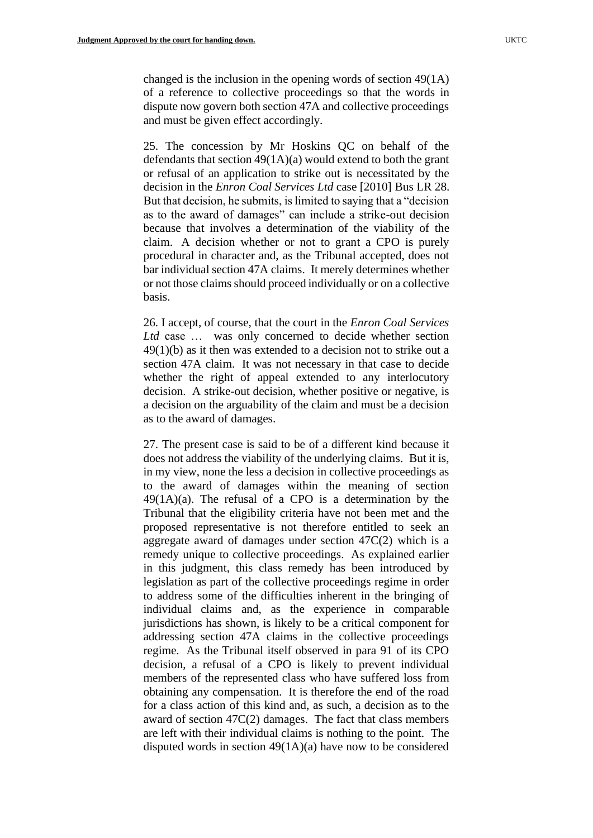changed is the inclusion in the opening words of section 49(1A) of a reference to collective proceedings so that the words in dispute now govern both section 47A and collective proceedings and must be given effect accordingly.

25. The concession by Mr Hoskins QC on behalf of the defendants that section 49(1A)(a) would extend to both the grant or refusal of an application to strike out is necessitated by the decision in the *Enron Coal Services Ltd* case [2010] Bus LR 28. But that decision, he submits, is limited to saying that a "decision as to the award of damages" can include a strike-out decision because that involves a determination of the viability of the claim. A decision whether or not to grant a CPO is purely procedural in character and, as the Tribunal accepted, does not bar individual section 47A claims. It merely determines whether or not those claims should proceed individually or on a collective basis.

26. I accept, of course, that the court in the *Enron Coal Services Ltd* case … was only concerned to decide whether section 49(1)(b) as it then was extended to a decision not to strike out a section 47A claim. It was not necessary in that case to decide whether the right of appeal extended to any interlocutory decision. A strike-out decision, whether positive or negative, is a decision on the arguability of the claim and must be a decision as to the award of damages.

27. The present case is said to be of a different kind because it does not address the viability of the underlying claims. But it is, in my view, none the less a decision in collective proceedings as to the award of damages within the meaning of section  $49(1A)(a)$ . The refusal of a CPO is a determination by the Tribunal that the eligibility criteria have not been met and the proposed representative is not therefore entitled to seek an aggregate award of damages under section 47C(2) which is a remedy unique to collective proceedings. As explained earlier in this judgment, this class remedy has been introduced by legislation as part of the collective proceedings regime in order to address some of the difficulties inherent in the bringing of individual claims and, as the experience in comparable jurisdictions has shown, is likely to be a critical component for addressing section 47A claims in the collective proceedings regime. As the Tribunal itself observed in para 91 of its CPO decision, a refusal of a CPO is likely to prevent individual members of the represented class who have suffered loss from obtaining any compensation. It is therefore the end of the road for a class action of this kind and, as such, a decision as to the award of section 47C(2) damages. The fact that class members are left with their individual claims is nothing to the point. The disputed words in section 49(1A)(a) have now to be considered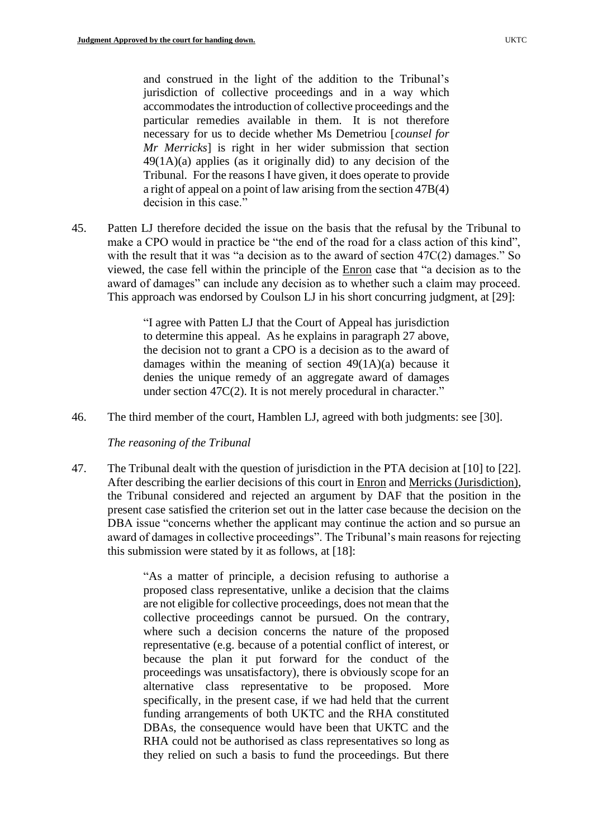and construed in the light of the addition to the Tribunal's jurisdiction of collective proceedings and in a way which accommodates the introduction of collective proceedings and the particular remedies available in them. It is not therefore necessary for us to decide whether Ms Demetriou [*counsel for Mr Merricks*] is right in her wider submission that section  $49(1A)(a)$  applies (as it originally did) to any decision of the Tribunal. For the reasons I have given, it does operate to provide a right of appeal on a point of law arising from the section 47B(4) decision in this case."

45. Patten LJ therefore decided the issue on the basis that the refusal by the Tribunal to make a CPO would in practice be "the end of the road for a class action of this kind", with the result that it was "a decision as to the award of section 47C(2) damages." So viewed, the case fell within the principle of the Enron case that "a decision as to the award of damages" can include any decision as to whether such a claim may proceed. This approach was endorsed by Coulson LJ in his short concurring judgment, at [29]:

> "I agree with Patten LJ that the Court of Appeal has jurisdiction to determine this appeal. As he explains in paragraph 27 above, the decision not to grant a CPO is a decision as to the award of damages within the meaning of section 49(1A)(a) because it denies the unique remedy of an aggregate award of damages under section 47C(2). It is not merely procedural in character."

46. The third member of the court, Hamblen LJ, agreed with both judgments: see [30].

*The reasoning of the Tribunal*

47. The Tribunal dealt with the question of jurisdiction in the PTA decision at [10] to [22]. After describing the earlier decisions of this court in Enron and Merricks (Jurisdiction), the Tribunal considered and rejected an argument by DAF that the position in the present case satisfied the criterion set out in the latter case because the decision on the DBA issue "concerns whether the applicant may continue the action and so pursue an award of damages in collective proceedings". The Tribunal's main reasons for rejecting this submission were stated by it as follows, at [18]:

> "As a matter of principle, a decision refusing to authorise a proposed class representative, unlike a decision that the claims are not eligible for collective proceedings, does not mean that the collective proceedings cannot be pursued. On the contrary, where such a decision concerns the nature of the proposed representative (e.g. because of a potential conflict of interest, or because the plan it put forward for the conduct of the proceedings was unsatisfactory), there is obviously scope for an alternative class representative to be proposed. More specifically, in the present case, if we had held that the current funding arrangements of both UKTC and the RHA constituted DBAs, the consequence would have been that UKTC and the RHA could not be authorised as class representatives so long as they relied on such a basis to fund the proceedings. But there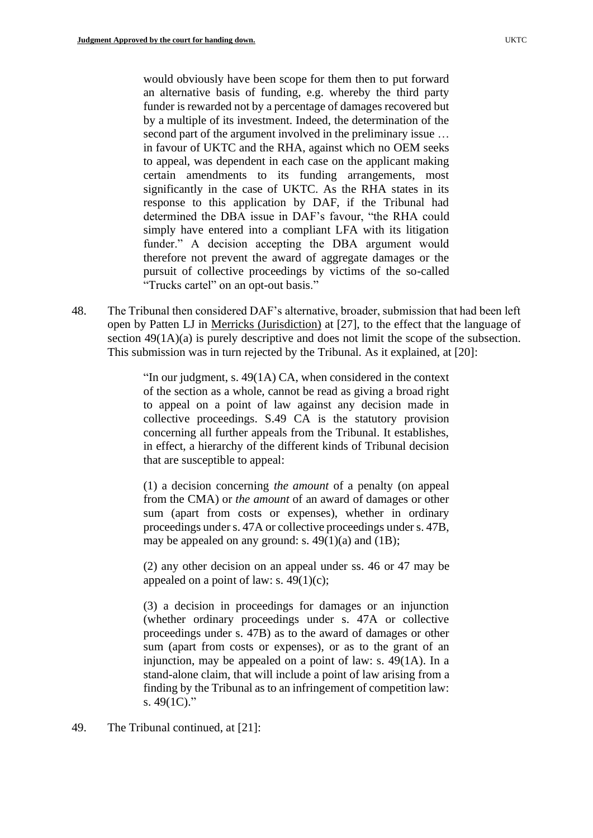would obviously have been scope for them then to put forward an alternative basis of funding, e.g. whereby the third party funder is rewarded not by a percentage of damages recovered but by a multiple of its investment. Indeed, the determination of the second part of the argument involved in the preliminary issue … in favour of UKTC and the RHA, against which no OEM seeks to appeal, was dependent in each case on the applicant making certain amendments to its funding arrangements, most significantly in the case of UKTC. As the RHA states in its response to this application by DAF, if the Tribunal had determined the DBA issue in DAF's favour, "the RHA could simply have entered into a compliant LFA with its litigation funder." A decision accepting the DBA argument would therefore not prevent the award of aggregate damages or the pursuit of collective proceedings by victims of the so-called "Trucks cartel" on an opt-out basis."

48. The Tribunal then considered DAF's alternative, broader, submission that had been left open by Patten LJ in Merricks (Jurisdiction) at [27], to the effect that the language of section  $49(1A)(a)$  is purely descriptive and does not limit the scope of the subsection. This submission was in turn rejected by the Tribunal. As it explained, at [20]:

> "In our judgment, s. 49(1A) CA, when considered in the context of the section as a whole, cannot be read as giving a broad right to appeal on a point of law against any decision made in collective proceedings. S.49 CA is the statutory provision concerning all further appeals from the Tribunal. It establishes, in effect, a hierarchy of the different kinds of Tribunal decision that are susceptible to appeal:

> (1) a decision concerning *the amount* of a penalty (on appeal from the CMA) or *the amount* of an award of damages or other sum (apart from costs or expenses), whether in ordinary proceedings under s. 47A or collective proceedings under s. 47B, may be appealed on any ground: s.  $49(1)(a)$  and  $(1B)$ ;

> (2) any other decision on an appeal under ss. 46 or 47 may be appealed on a point of law: s.  $49(1)(c)$ ;

> (3) a decision in proceedings for damages or an injunction (whether ordinary proceedings under s. 47A or collective proceedings under s. 47B) as to the award of damages or other sum (apart from costs or expenses), or as to the grant of an injunction, may be appealed on a point of law: s. 49(1A). In a stand-alone claim, that will include a point of law arising from a finding by the Tribunal as to an infringement of competition law: s.  $49(1C)$ ."

49. The Tribunal continued, at [21]: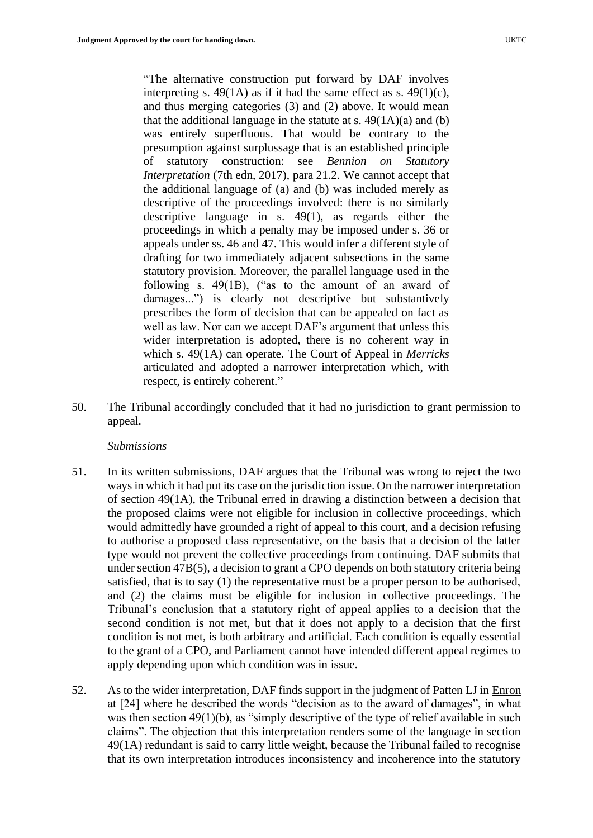"The alternative construction put forward by DAF involves interpreting s. 49(1A) as if it had the same effect as s. 49(1)(c), and thus merging categories (3) and (2) above. It would mean that the additional language in the statute at s.  $49(1A)(a)$  and (b) was entirely superfluous. That would be contrary to the presumption against surplussage that is an established principle of statutory construction: see *Bennion on Statutory Interpretation* (7th edn, 2017), para 21.2. We cannot accept that the additional language of (a) and (b) was included merely as descriptive of the proceedings involved: there is no similarly descriptive language in s. 49(1), as regards either the proceedings in which a penalty may be imposed under s. 36 or appeals under ss. 46 and 47. This would infer a different style of drafting for two immediately adjacent subsections in the same statutory provision. Moreover, the parallel language used in the following s. 49(1B), ("as to the amount of an award of damages...") is clearly not descriptive but substantively prescribes the form of decision that can be appealed on fact as well as law. Nor can we accept DAF's argument that unless this wider interpretation is adopted, there is no coherent way in which s. 49(1A) can operate. The Court of Appeal in *Merricks*  articulated and adopted a narrower interpretation which, with respect, is entirely coherent."

50. The Tribunal accordingly concluded that it had no jurisdiction to grant permission to appeal.

### *Submissions*

- 51. In its written submissions, DAF argues that the Tribunal was wrong to reject the two ways in which it had put its case on the jurisdiction issue. On the narrower interpretation of section 49(1A), the Tribunal erred in drawing a distinction between a decision that the proposed claims were not eligible for inclusion in collective proceedings, which would admittedly have grounded a right of appeal to this court, and a decision refusing to authorise a proposed class representative, on the basis that a decision of the latter type would not prevent the collective proceedings from continuing. DAF submits that under section 47B(5), a decision to grant a CPO depends on both statutory criteria being satisfied, that is to say (1) the representative must be a proper person to be authorised, and (2) the claims must be eligible for inclusion in collective proceedings. The Tribunal's conclusion that a statutory right of appeal applies to a decision that the second condition is not met, but that it does not apply to a decision that the first condition is not met, is both arbitrary and artificial. Each condition is equally essential to the grant of a CPO, and Parliament cannot have intended different appeal regimes to apply depending upon which condition was in issue.
- 52. As to the wider interpretation, DAF finds support in the judgment of Patten LJ in Enron at [24] where he described the words "decision as to the award of damages", in what was then section 49(1)(b), as "simply descriptive of the type of relief available in such claims". The objection that this interpretation renders some of the language in section 49(1A) redundant is said to carry little weight, because the Tribunal failed to recognise that its own interpretation introduces inconsistency and incoherence into the statutory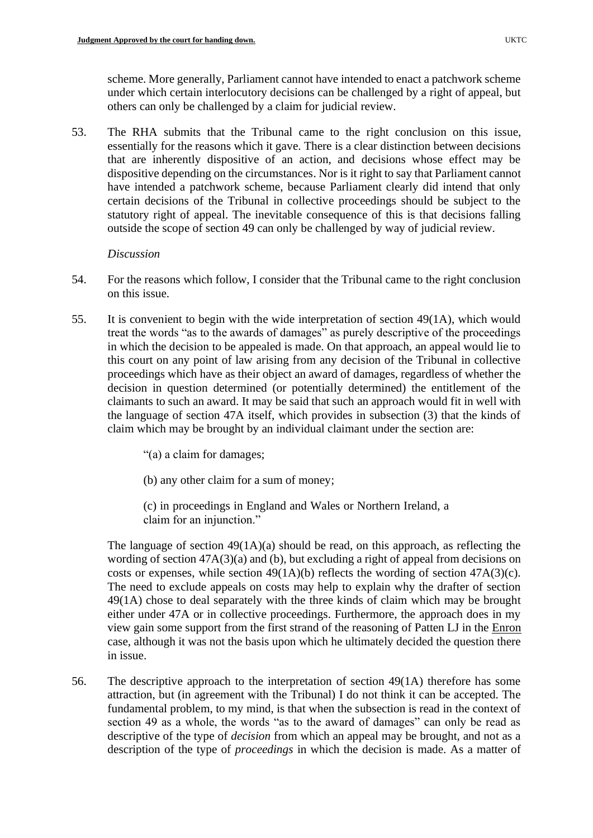scheme. More generally, Parliament cannot have intended to enact a patchwork scheme under which certain interlocutory decisions can be challenged by a right of appeal, but others can only be challenged by a claim for judicial review.

53. The RHA submits that the Tribunal came to the right conclusion on this issue, essentially for the reasons which it gave. There is a clear distinction between decisions that are inherently dispositive of an action, and decisions whose effect may be dispositive depending on the circumstances. Nor is it right to say that Parliament cannot have intended a patchwork scheme, because Parliament clearly did intend that only certain decisions of the Tribunal in collective proceedings should be subject to the statutory right of appeal. The inevitable consequence of this is that decisions falling outside the scope of section 49 can only be challenged by way of judicial review.

### *Discussion*

- 54. For the reasons which follow, I consider that the Tribunal came to the right conclusion on this issue.
- 55. It is convenient to begin with the wide interpretation of section 49(1A), which would treat the words "as to the awards of damages" as purely descriptive of the proceedings in which the decision to be appealed is made. On that approach, an appeal would lie to this court on any point of law arising from any decision of the Tribunal in collective proceedings which have as their object an award of damages, regardless of whether the decision in question determined (or potentially determined) the entitlement of the claimants to such an award. It may be said that such an approach would fit in well with the language of section 47A itself, which provides in subsection (3) that the kinds of claim which may be brought by an individual claimant under the section are:

"(a) a claim for damages;

(b) any other claim for a sum of money;

(c) in proceedings in England and Wales or Northern Ireland, a claim for an injunction."

The language of section  $49(1A)(a)$  should be read, on this approach, as reflecting the wording of section 47A(3)(a) and (b), but excluding a right of appeal from decisions on costs or expenses, while section  $49(1A)(b)$  reflects the wording of section  $47A(3)(c)$ . The need to exclude appeals on costs may help to explain why the drafter of section 49(1A) chose to deal separately with the three kinds of claim which may be brought either under 47A or in collective proceedings. Furthermore, the approach does in my view gain some support from the first strand of the reasoning of Patten LJ in the Enron case, although it was not the basis upon which he ultimately decided the question there in issue.

56. The descriptive approach to the interpretation of section 49(1A) therefore has some attraction, but (in agreement with the Tribunal) I do not think it can be accepted. The fundamental problem, to my mind, is that when the subsection is read in the context of section 49 as a whole, the words "as to the award of damages" can only be read as descriptive of the type of *decision* from which an appeal may be brought, and not as a description of the type of *proceedings* in which the decision is made. As a matter of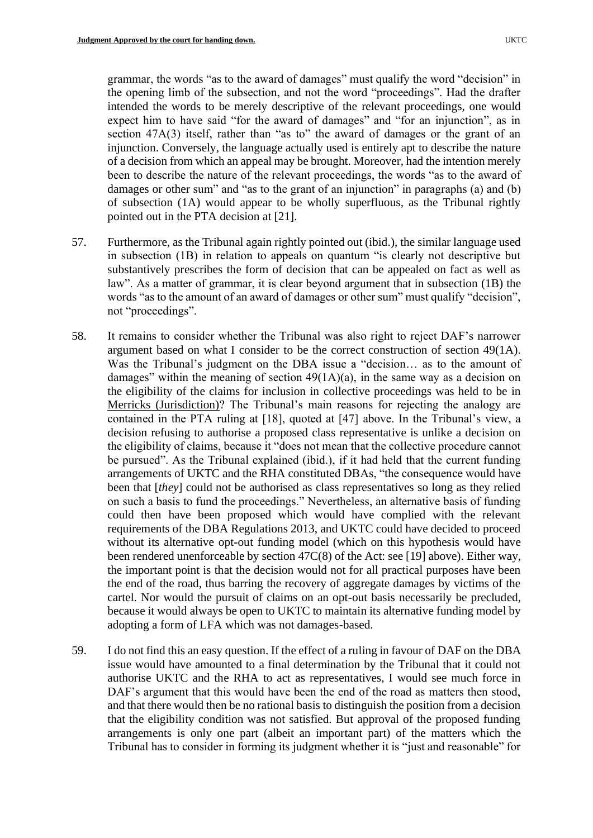grammar, the words "as to the award of damages" must qualify the word "decision" in the opening limb of the subsection, and not the word "proceedings". Had the drafter intended the words to be merely descriptive of the relevant proceedings, one would expect him to have said "for the award of damages" and "for an injunction", as in section 47A(3) itself, rather than "as to" the award of damages or the grant of an injunction. Conversely, the language actually used is entirely apt to describe the nature of a decision from which an appeal may be brought. Moreover, had the intention merely been to describe the nature of the relevant proceedings, the words "as to the award of damages or other sum" and "as to the grant of an injunction" in paragraphs (a) and (b) of subsection (1A) would appear to be wholly superfluous, as the Tribunal rightly pointed out in the PTA decision at [21].

- 57. Furthermore, as the Tribunal again rightly pointed out (ibid.), the similar language used in subsection (1B) in relation to appeals on quantum "is clearly not descriptive but substantively prescribes the form of decision that can be appealed on fact as well as law". As a matter of grammar, it is clear beyond argument that in subsection (1B) the words "as to the amount of an award of damages or other sum" must qualify "decision", not "proceedings".
- 58. It remains to consider whether the Tribunal was also right to reject DAF's narrower argument based on what I consider to be the correct construction of section 49(1A). Was the Tribunal's judgment on the DBA issue a "decision… as to the amount of damages" within the meaning of section  $49(1A)(a)$ , in the same way as a decision on the eligibility of the claims for inclusion in collective proceedings was held to be in Merricks (Jurisdiction)? The Tribunal's main reasons for rejecting the analogy are contained in the PTA ruling at [18], quoted at [47] above. In the Tribunal's view, a decision refusing to authorise a proposed class representative is unlike a decision on the eligibility of claims, because it "does not mean that the collective procedure cannot be pursued". As the Tribunal explained (ibid.), if it had held that the current funding arrangements of UKTC and the RHA constituted DBAs, "the consequence would have been that [*they*] could not be authorised as class representatives so long as they relied on such a basis to fund the proceedings." Nevertheless, an alternative basis of funding could then have been proposed which would have complied with the relevant requirements of the DBA Regulations 2013, and UKTC could have decided to proceed without its alternative opt-out funding model (which on this hypothesis would have been rendered unenforceable by section 47C(8) of the Act: see [19] above). Either way, the important point is that the decision would not for all practical purposes have been the end of the road, thus barring the recovery of aggregate damages by victims of the cartel. Nor would the pursuit of claims on an opt-out basis necessarily be precluded, because it would always be open to UKTC to maintain its alternative funding model by adopting a form of LFA which was not damages-based.
- 59. I do not find this an easy question. If the effect of a ruling in favour of DAF on the DBA issue would have amounted to a final determination by the Tribunal that it could not authorise UKTC and the RHA to act as representatives, I would see much force in DAF's argument that this would have been the end of the road as matters then stood, and that there would then be no rational basis to distinguish the position from a decision that the eligibility condition was not satisfied. But approval of the proposed funding arrangements is only one part (albeit an important part) of the matters which the Tribunal has to consider in forming its judgment whether it is "just and reasonable" for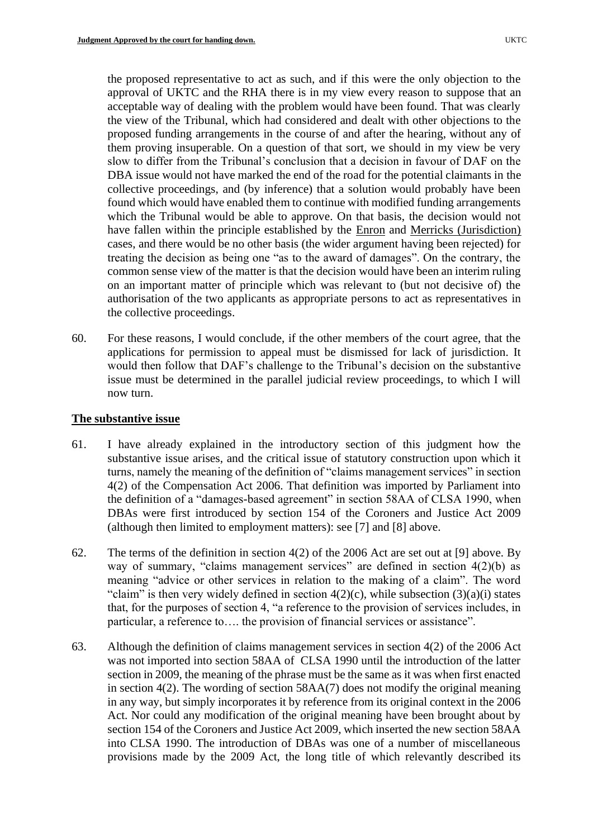the proposed representative to act as such, and if this were the only objection to the approval of UKTC and the RHA there is in my view every reason to suppose that an acceptable way of dealing with the problem would have been found. That was clearly the view of the Tribunal, which had considered and dealt with other objections to the proposed funding arrangements in the course of and after the hearing, without any of them proving insuperable. On a question of that sort, we should in my view be very slow to differ from the Tribunal's conclusion that a decision in favour of DAF on the DBA issue would not have marked the end of the road for the potential claimants in the collective proceedings, and (by inference) that a solution would probably have been found which would have enabled them to continue with modified funding arrangements which the Tribunal would be able to approve. On that basis, the decision would not have fallen within the principle established by the Enron and Merricks (Jurisdiction) cases, and there would be no other basis (the wider argument having been rejected) for treating the decision as being one "as to the award of damages". On the contrary, the common sense view of the matter is that the decision would have been an interim ruling on an important matter of principle which was relevant to (but not decisive of) the authorisation of the two applicants as appropriate persons to act as representatives in the collective proceedings.

60. For these reasons, I would conclude, if the other members of the court agree, that the applications for permission to appeal must be dismissed for lack of jurisdiction. It would then follow that DAF's challenge to the Tribunal's decision on the substantive issue must be determined in the parallel judicial review proceedings, to which I will now turn.

### **The substantive issue**

- 61. I have already explained in the introductory section of this judgment how the substantive issue arises, and the critical issue of statutory construction upon which it turns, namely the meaning of the definition of "claims management services" in section 4(2) of the Compensation Act 2006. That definition was imported by Parliament into the definition of a "damages-based agreement" in section 58AA of CLSA 1990, when DBAs were first introduced by section 154 of the Coroners and Justice Act 2009 (although then limited to employment matters): see [7] and [8] above.
- 62. The terms of the definition in section 4(2) of the 2006 Act are set out at [9] above. By way of summary, "claims management services" are defined in section  $4(2)(b)$  as meaning "advice or other services in relation to the making of a claim". The word "claim" is then very widely defined in section  $4(2)(c)$ , while subsection  $(3)(a)(i)$  states that, for the purposes of section 4, "a reference to the provision of services includes, in particular, a reference to…. the provision of financial services or assistance".
- 63. Although the definition of claims management services in section 4(2) of the 2006 Act was not imported into section 58AA of CLSA 1990 until the introduction of the latter section in 2009, the meaning of the phrase must be the same as it was when first enacted in section 4(2). The wording of section 58AA(7) does not modify the original meaning in any way, but simply incorporates it by reference from its original context in the 2006 Act. Nor could any modification of the original meaning have been brought about by section 154 of the Coroners and Justice Act 2009, which inserted the new section 58AA into CLSA 1990. The introduction of DBAs was one of a number of miscellaneous provisions made by the 2009 Act, the long title of which relevantly described its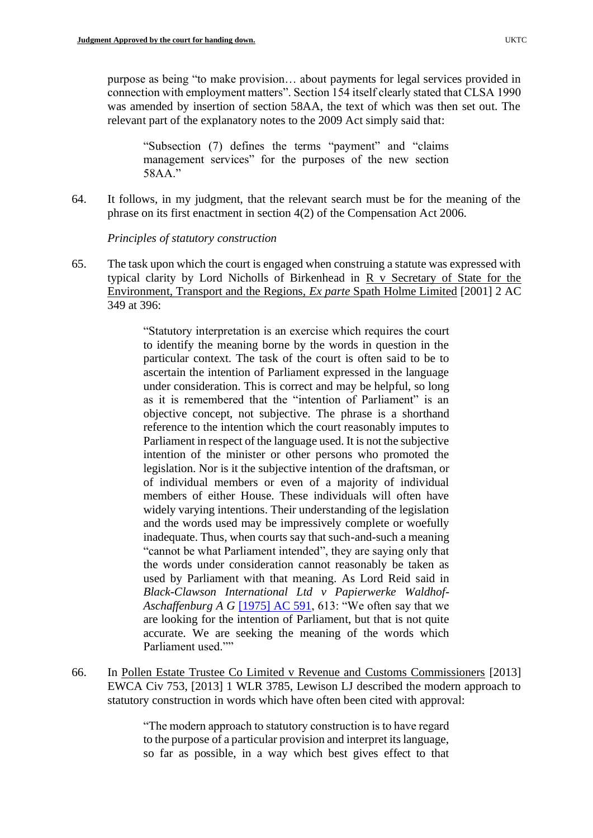purpose as being "to make provision… about payments for legal services provided in connection with employment matters". Section 154 itself clearly stated that CLSA 1990 was amended by insertion of section 58AA, the text of which was then set out. The relevant part of the explanatory notes to the 2009 Act simply said that:

"Subsection (7) defines the terms "payment" and "claims management services" for the purposes of the new section 58AA."

64. It follows, in my judgment, that the relevant search must be for the meaning of the phrase on its first enactment in section 4(2) of the Compensation Act 2006.

*Principles of statutory construction*

65. The task upon which the court is engaged when construing a statute was expressed with typical clarity by Lord Nicholls of Birkenhead in R v Secretary of State for the Environment, Transport and the Regions, *Ex parte* Spath Holme Limited [2001] 2 AC 349 at 396:

> "Statutory interpretation is an exercise which requires the court to identify the meaning borne by the words in question in the particular context. The task of the court is often said to be to ascertain the intention of Parliament expressed in the language under consideration. This is correct and may be helpful, so long as it is remembered that the "intention of Parliament" is an objective concept, not subjective. The phrase is a shorthand reference to the intention which the court reasonably imputes to Parliament in respect of the language used. It is not the subjective intention of the minister or other persons who promoted the legislation. Nor is it the subjective intention of the draftsman, or of individual members or even of a majority of individual members of either House. These individuals will often have widely varying intentions. Their understanding of the legislation and the words used may be impressively complete or woefully inadequate. Thus, when courts say that such-and-such a meaning "cannot be what Parliament intended", they are saying only that the words under consideration cannot reasonably be taken as used by Parliament with that meaning. As Lord Reid said in *Black-Clawson International Ltd v Papierwerke Waldhof-Aschaffenburg A G* [\[1975\] AC 591,](https://www.bailii.org/cgi-bin/redirect.cgi?path=/uk/cases/UKHL/1975/2.html) 613: "We often say that we are looking for the intention of Parliament, but that is not quite accurate. We are seeking the meaning of the words which Parliament used.""

66. In Pollen Estate Trustee Co Limited v Revenue and Customs Commissioners [2013] EWCA Civ 753, [2013] 1 WLR 3785, Lewison LJ described the modern approach to statutory construction in words which have often been cited with approval:

> "The modern approach to statutory construction is to have regard to the purpose of a particular provision and interpret its language, so far as possible, in a way which best gives effect to that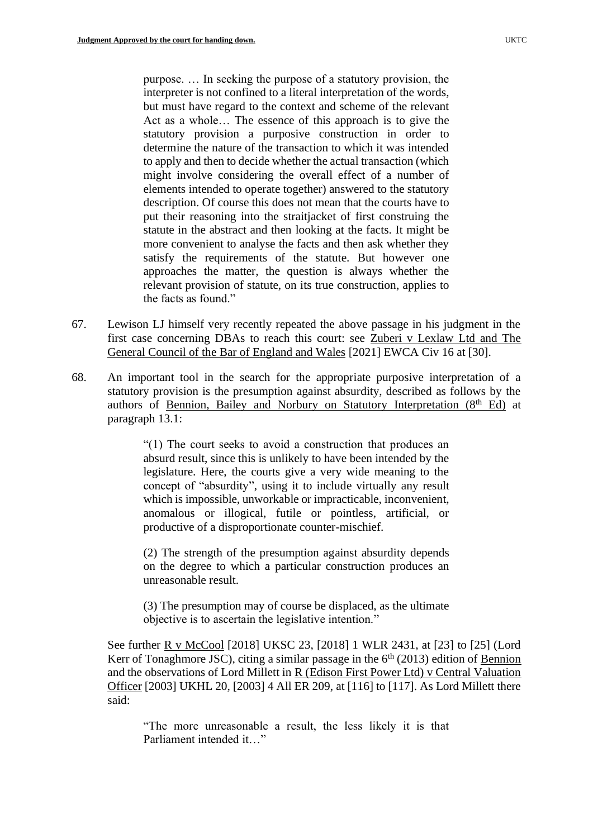purpose. … In seeking the purpose of a statutory provision, the interpreter is not confined to a literal interpretation of the words, but must have regard to the context and scheme of the relevant Act as a whole… The essence of this approach is to give the statutory provision a purposive construction in order to determine the nature of the transaction to which it was intended to apply and then to decide whether the actual transaction (which might involve considering the overall effect of a number of elements intended to operate together) answered to the statutory description. Of course this does not mean that the courts have to put their reasoning into the straitjacket of first construing the statute in the abstract and then looking at the facts. It might be more convenient to analyse the facts and then ask whether they satisfy the requirements of the statute. But however one approaches the matter, the question is always whether the relevant provision of statute, on its true construction, applies to the facts as found."

- 67. Lewison LJ himself very recently repeated the above passage in his judgment in the first case concerning DBAs to reach this court: see Zuberi v Lexlaw Ltd and The General Council of the Bar of England and Wales [2021] EWCA Civ 16 at [30].
- 68. An important tool in the search for the appropriate purposive interpretation of a statutory provision is the presumption against absurdity, described as follows by the authors of Bennion, Bailey and Norbury on Statutory Interpretation  $(8<sup>th</sup> Ed)$  at paragraph 13.1:

"(1) The court seeks to avoid a construction that produces an absurd result, since this is unlikely to have been intended by the legislature. Here, the courts give a very wide meaning to the concept of "absurdity", using it to include virtually any result which is impossible, unworkable or impracticable, inconvenient, anomalous or illogical, futile or pointless, artificial, or productive of a disproportionate counter-mischief.

(2) The strength of the presumption against absurdity depends on the degree to which a particular construction produces an unreasonable result.

(3) The presumption may of course be displaced, as the ultimate objective is to ascertain the legislative intention."

See further R v McCool [2018] UKSC 23, [2018] 1 WLR 2431, at [23] to [25] (Lord Kerr of Tonaghmore JSC), citing a similar passage in the  $6<sup>th</sup>$  (2013) edition of Bennion and the observations of Lord Millett in R (Edison First Power Ltd) v Central Valuation Officer [2003] UKHL 20, [2003] 4 All ER 209, at [116] to [117]. As Lord Millett there said:

"The more unreasonable a result, the less likely it is that Parliament intended it "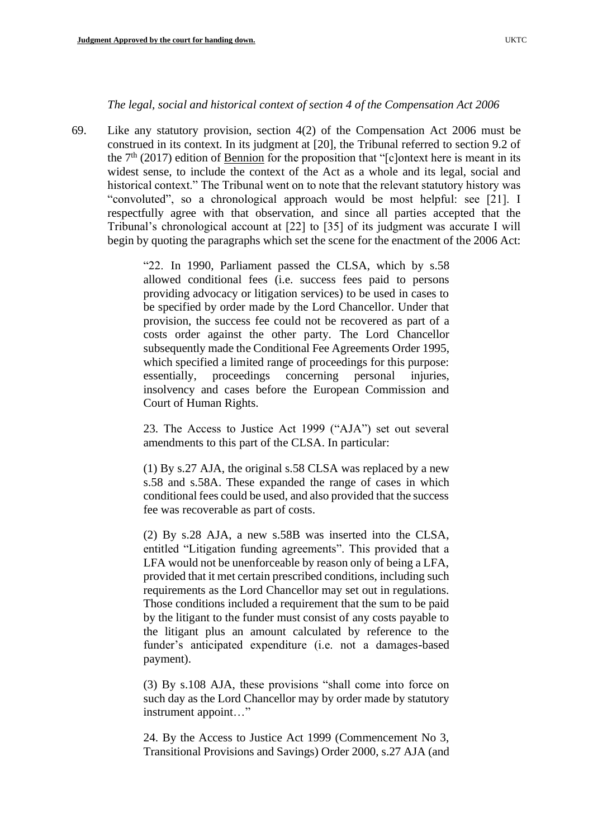#### *The legal, social and historical context of section 4 of the Compensation Act 2006*

69. Like any statutory provision, section 4(2) of the Compensation Act 2006 must be construed in its context. In its judgment at [20], the Tribunal referred to section 9.2 of the  $7<sup>th</sup>$  (2017) edition of Bennion for the proposition that "[c]ontext here is meant in its widest sense, to include the context of the Act as a whole and its legal, social and historical context." The Tribunal went on to note that the relevant statutory history was "convoluted", so a chronological approach would be most helpful: see [21]. I respectfully agree with that observation, and since all parties accepted that the Tribunal's chronological account at [22] to [35] of its judgment was accurate I will begin by quoting the paragraphs which set the scene for the enactment of the 2006 Act:

> "22. In 1990, Parliament passed the CLSA, which by s.58 allowed conditional fees (i.e. success fees paid to persons providing advocacy or litigation services) to be used in cases to be specified by order made by the Lord Chancellor. Under that provision, the success fee could not be recovered as part of a costs order against the other party. The Lord Chancellor subsequently made the Conditional Fee Agreements Order 1995, which specified a limited range of proceedings for this purpose: essentially, proceedings concerning personal injuries, insolvency and cases before the European Commission and Court of Human Rights.

> 23. The Access to Justice Act 1999 ("AJA") set out several amendments to this part of the CLSA. In particular:

> (1) By s.27 AJA, the original s.58 CLSA was replaced by a new s.58 and s.58A. These expanded the range of cases in which conditional fees could be used, and also provided that the success fee was recoverable as part of costs.

> (2) By s.28 AJA, a new s.58B was inserted into the CLSA, entitled "Litigation funding agreements". This provided that a LFA would not be unenforceable by reason only of being a LFA, provided that it met certain prescribed conditions, including such requirements as the Lord Chancellor may set out in regulations. Those conditions included a requirement that the sum to be paid by the litigant to the funder must consist of any costs payable to the litigant plus an amount calculated by reference to the funder's anticipated expenditure (i.e. not a damages-based payment).

> (3) By s.108 AJA, these provisions "shall come into force on such day as the Lord Chancellor may by order made by statutory instrument appoint…"

> 24. By the Access to Justice Act 1999 (Commencement No 3, Transitional Provisions and Savings) Order 2000, s.27 AJA (and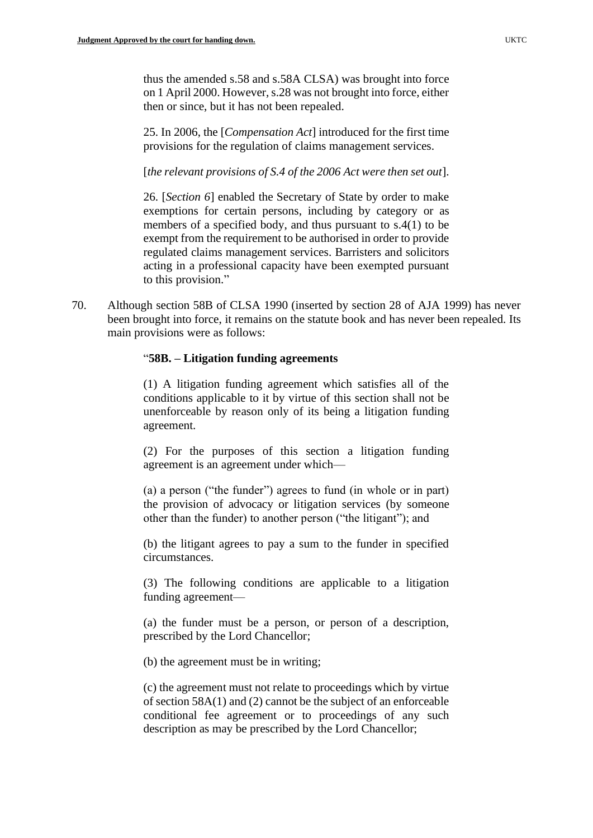thus the amended s.58 and s.58A CLSA) was brought into force on 1 April 2000. However, s.28 was not brought into force, either then or since, but it has not been repealed.

25. In 2006, the [*Compensation Act*] introduced for the first time provisions for the regulation of claims management services.

[*the relevant provisions of S.4 of the 2006 Act were then set out*].

26. [*Section 6*] enabled the Secretary of State by order to make exemptions for certain persons, including by category or as members of a specified body, and thus pursuant to s.4(1) to be exempt from the requirement to be authorised in order to provide regulated claims management services. Barristers and solicitors acting in a professional capacity have been exempted pursuant to this provision."

70. Although section 58B of CLSA 1990 (inserted by section 28 of AJA 1999) has never been brought into force, it remains on the statute book and has never been repealed. Its main provisions were as follows:

#### "**58B. – Litigation funding agreements**

(1) A litigation funding agreement which satisfies all of the conditions applicable to it by virtue of this section shall not be unenforceable by reason only of its being a litigation funding agreement.

(2) For the purposes of this section a litigation funding agreement is an agreement under which—

(a) a person ("the funder") agrees to fund (in whole or in part) the provision of advocacy or litigation services (by someone other than the funder) to another person ("the litigant"); and

(b) the litigant agrees to pay a sum to the funder in specified circumstances.

(3) The following conditions are applicable to a litigation funding agreement—

(a) the funder must be a person, or person of a description, prescribed by the Lord Chancellor;

(b) the agreement must be in writing;

(c) the agreement must not relate to proceedings which by virtue of section 58A(1) and (2) cannot be the subject of an enforceable conditional fee agreement or to proceedings of any such description as may be prescribed by the Lord Chancellor;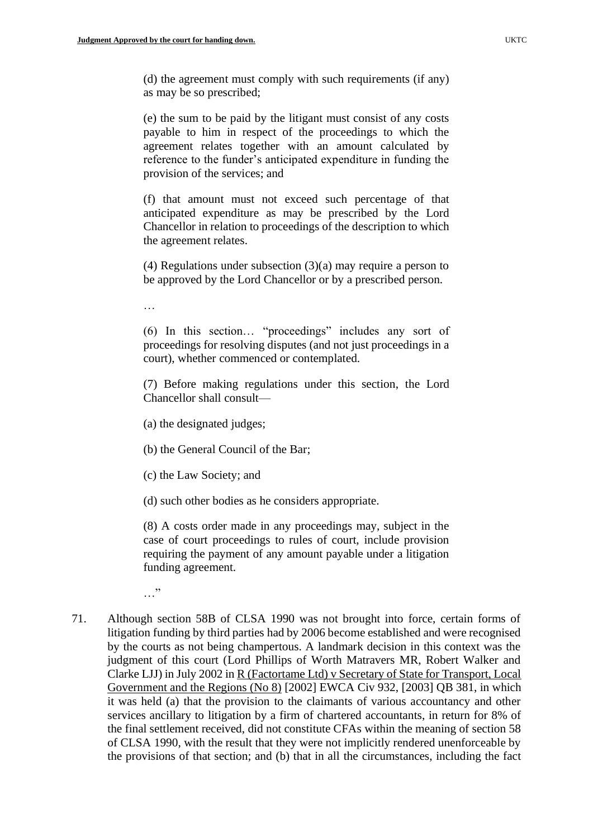(d) the agreement must comply with such requirements (if any) as may be so prescribed;

(e) the sum to be paid by the litigant must consist of any costs payable to him in respect of the proceedings to which the agreement relates together with an amount calculated by reference to the funder's anticipated expenditure in funding the provision of the services; and

(f) that amount must not exceed such percentage of that anticipated expenditure as may be prescribed by the Lord Chancellor in relation to proceedings of the description to which the agreement relates.

(4) Regulations under subsection (3)(a) may require a person to be approved by the Lord Chancellor or by a prescribed person.

…

(6) In this section… "proceedings" includes any sort of proceedings for resolving disputes (and not just proceedings in a court), whether commenced or contemplated.

(7) Before making regulations under this section, the Lord Chancellor shall consult—

(a) the designated judges;

(b) the General Council of the Bar;

(c) the Law Society; and

(d) such other bodies as he considers appropriate.

(8) A costs order made in any proceedings may, subject in the case of court proceedings to rules of court, include provision requiring the payment of any amount payable under a litigation funding agreement.

…"

71. Although section 58B of CLSA 1990 was not brought into force, certain forms of litigation funding by third parties had by 2006 become established and were recognised by the courts as not being champertous. A landmark decision in this context was the judgment of this court (Lord Phillips of Worth Matravers MR, Robert Walker and Clarke LJJ) in July 2002 in R (Factortame Ltd) v Secretary of State for Transport, Local Government and the Regions (No 8) [2002] EWCA Civ 932, [2003] QB 381, in which it was held (a) that the provision to the claimants of various accountancy and other services ancillary to litigation by a firm of chartered accountants, in return for 8% of the final settlement received, did not constitute CFAs within the meaning of section 58 of CLSA 1990, with the result that they were not implicitly rendered unenforceable by the provisions of that section; and (b) that in all the circumstances, including the fact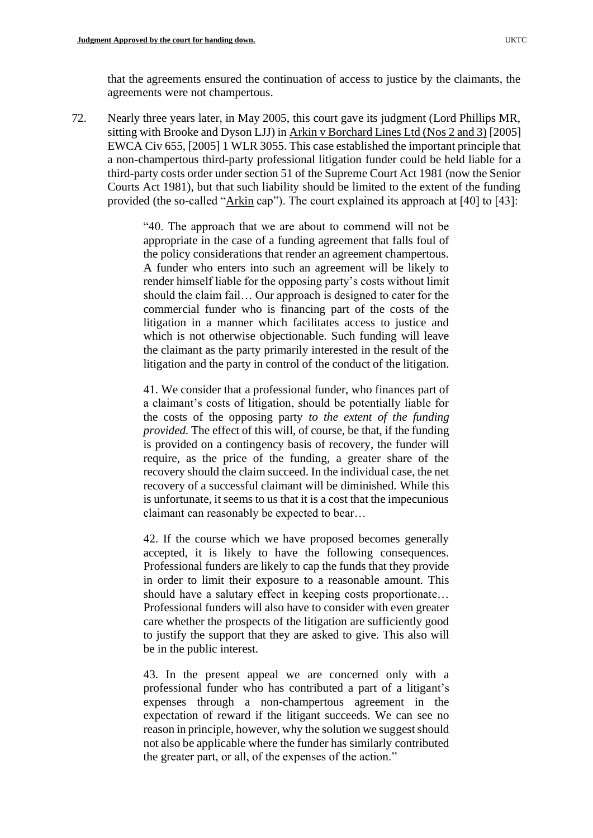72. Nearly three years later, in May 2005, this court gave its judgment (Lord Phillips MR, sitting with Brooke and Dyson LJJ) in Arkin v Borchard Lines Ltd (Nos 2 and 3) [2005] EWCA Civ 655, [2005] 1 WLR 3055. This case established the important principle that a non-champertous third-party professional litigation funder could be held liable for a third-party costs order under section 51 of the Supreme Court Act 1981 (now the Senior Courts Act 1981), but that such liability should be limited to the extent of the funding provided (the so-called "Arkin cap"). The court explained its approach at [40] to [43]:

> "40. The approach that we are about to commend will not be appropriate in the case of a funding agreement that falls foul of the policy considerations that render an agreement champertous. A funder who enters into such an agreement will be likely to render himself liable for the opposing party's costs without limit should the claim fail… Our approach is designed to cater for the commercial funder who is financing part of the costs of the litigation in a manner which facilitates access to justice and which is not otherwise objectionable. Such funding will leave the claimant as the party primarily interested in the result of the litigation and the party in control of the conduct of the litigation.

> 41. We consider that a professional funder, who finances part of a claimant's costs of litigation, should be potentially liable for the costs of the opposing party *to the extent of the funding provided.* The effect of this will, of course, be that, if the funding is provided on a contingency basis of recovery, the funder will require, as the price of the funding, a greater share of the recovery should the claim succeed. In the individual case, the net recovery of a successful claimant will be diminished. While this is unfortunate, it seems to us that it is a cost that the impecunious claimant can reasonably be expected to bear…

> 42. If the course which we have proposed becomes generally accepted, it is likely to have the following consequences. Professional funders are likely to cap the funds that they provide in order to limit their exposure to a reasonable amount. This should have a salutary effect in keeping costs proportionate… Professional funders will also have to consider with even greater care whether the prospects of the litigation are sufficiently good to justify the support that they are asked to give. This also will be in the public interest.

> 43. In the present appeal we are concerned only with a professional funder who has contributed a part of a litigant's expenses through a non-champertous agreement in the expectation of reward if the litigant succeeds. We can see no reason in principle, however, why the solution we suggest should not also be applicable where the funder has similarly contributed the greater part, or all, of the expenses of the action."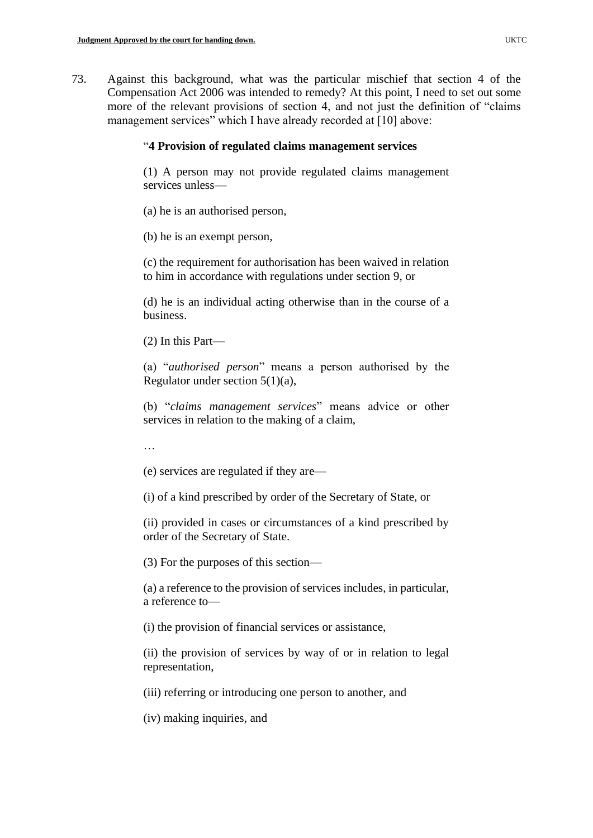73. Against this background, what was the particular mischief that section 4 of the Compensation Act 2006 was intended to remedy? At this point, I need to set out some more of the relevant provisions of section 4, and not just the definition of "claims management services" which I have already recorded at [10] above:

## "**4 Provision of regulated claims management services**

(1) A person may not provide regulated claims management services unless—

- (a) he is an authorised person,
- (b) he is an exempt person,

(c) the requirement for authorisation has been waived in relation to him in accordance with regulations under section 9, or

(d) he is an individual acting otherwise than in the course of a business.

(2) In this Part—

(a) "*authorised person*" means a person authorised by the Regulator under section 5(1)(a),

(b) "*claims management services*" means advice or other services in relation to the making of a claim,

…

(e) services are regulated if they are—

(i) of a kind prescribed by order of the Secretary of State, or

(ii) provided in cases or circumstances of a kind prescribed by order of the Secretary of State.

(3) For the purposes of this section—

(a) a reference to the provision of services includes, in particular, a reference to—

(i) the provision of financial services or assistance,

(ii) the provision of services by way of or in relation to legal representation,

(iii) referring or introducing one person to another, and

(iv) making inquiries, and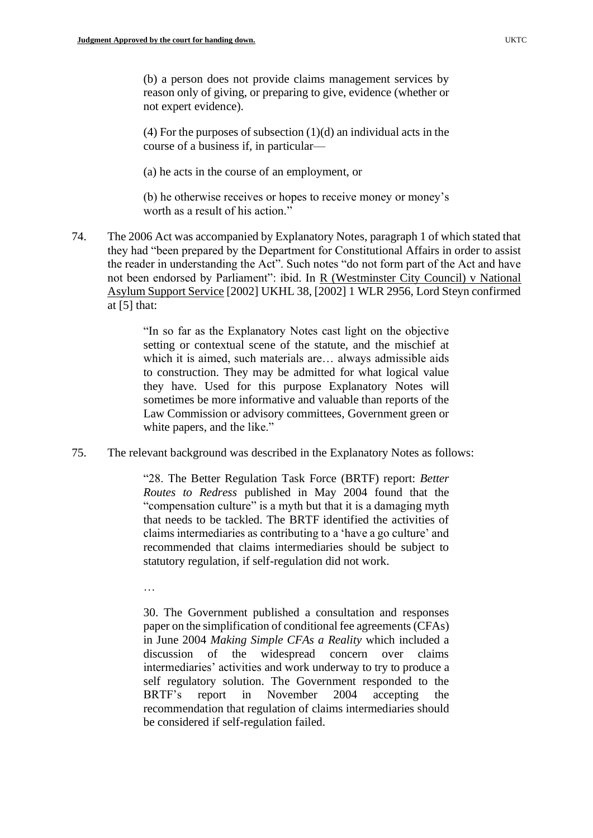(b) a person does not provide claims management services by reason only of giving, or preparing to give, evidence (whether or not expert evidence).

(4) For the purposes of subsection  $(1)(d)$  an individual acts in the course of a business if, in particular—

(a) he acts in the course of an employment, or

(b) he otherwise receives or hopes to receive money or money's worth as a result of his action."

74. The 2006 Act was accompanied by Explanatory Notes, paragraph 1 of which stated that they had "been prepared by the Department for Constitutional Affairs in order to assist the reader in understanding the Act". Such notes "do not form part of the Act and have not been endorsed by Parliament": ibid. In R (Westminster City Council) v National Asylum Support Service [2002] UKHL 38, [2002] 1 WLR 2956, Lord Steyn confirmed at [5] that:

> "In so far as the Explanatory Notes cast light on the objective setting or contextual scene of the statute, and the mischief at which it is aimed, such materials are… always admissible aids to construction. They may be admitted for what logical value they have. Used for this purpose Explanatory Notes will sometimes be more informative and valuable than reports of the Law Commission or advisory committees, Government green or white papers, and the like."

75. The relevant background was described in the Explanatory Notes as follows:

"28. The Better Regulation Task Force (BRTF) report: *Better Routes to Redress* published in May 2004 found that the "compensation culture" is a myth but that it is a damaging myth that needs to be tackled. The BRTF identified the activities of claims intermediaries as contributing to a 'have a go culture' and recommended that claims intermediaries should be subject to statutory regulation, if self-regulation did not work.

…

30. The Government published a consultation and responses paper on the simplification of conditional fee agreements (CFAs) in June 2004 *Making Simple CFAs a Reality* which included a discussion of the widespread concern over claims intermediaries' activities and work underway to try to produce a self regulatory solution. The Government responded to the BRTF's report in November 2004 accepting the recommendation that regulation of claims intermediaries should be considered if self-regulation failed.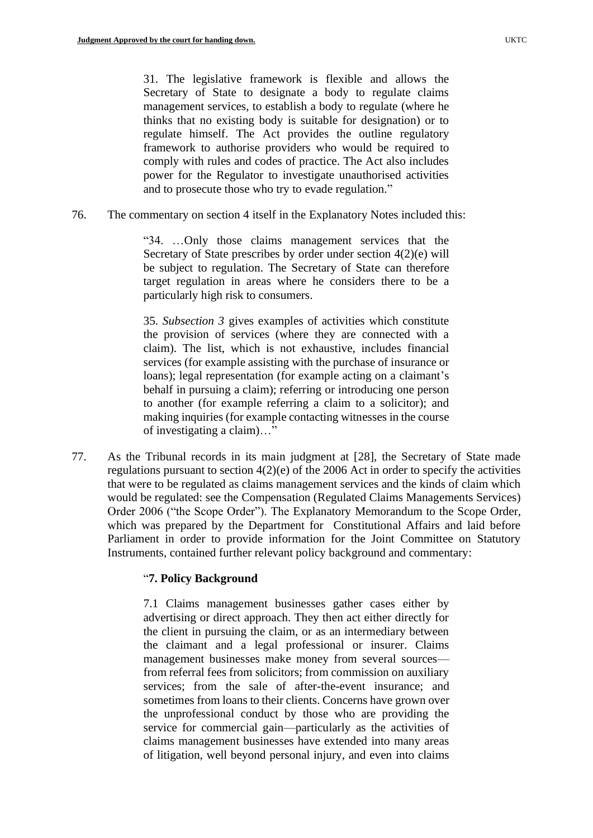31. The legislative framework is flexible and allows the Secretary of State to designate a body to regulate claims management services, to establish a body to regulate (where he thinks that no existing body is suitable for designation) or to regulate himself. The Act provides the outline regulatory framework to authorise providers who would be required to comply with rules and codes of practice. The Act also includes power for the Regulator to investigate unauthorised activities and to prosecute those who try to evade regulation."

76. The commentary on section 4 itself in the Explanatory Notes included this:

"34. …Only those claims management services that the Secretary of State prescribes by order under section 4(2)(e) will be subject to regulation. The Secretary of State can therefore target regulation in areas where he considers there to be a particularly high risk to consumers.

35. *Subsection 3* gives examples of activities which constitute the provision of services (where they are connected with a claim). The list, which is not exhaustive, includes financial services (for example assisting with the purchase of insurance or loans); legal representation (for example acting on a claimant's behalf in pursuing a claim); referring or introducing one person to another (for example referring a claim to a solicitor); and making inquiries (for example contacting witnesses in the course of investigating a claim)…"

77. As the Tribunal records in its main judgment at [28], the Secretary of State made regulations pursuant to section 4(2)(e) of the 2006 Act in order to specify the activities that were to be regulated as claims management services and the kinds of claim which would be regulated: see the Compensation (Regulated Claims Managements Services) Order 2006 ("the Scope Order"). The Explanatory Memorandum to the Scope Order, which was prepared by the Department for Constitutional Affairs and laid before Parliament in order to provide information for the Joint Committee on Statutory Instruments, contained further relevant policy background and commentary:

# "**7. Policy Background**

7.1 Claims management businesses gather cases either by advertising or direct approach. They then act either directly for the client in pursuing the claim, or as an intermediary between the claimant and a legal professional or insurer. Claims management businesses make money from several sources from referral fees from solicitors; from commission on auxiliary services; from the sale of after-the-event insurance; and sometimes from loans to their clients. Concerns have grown over the unprofessional conduct by those who are providing the service for commercial gain—particularly as the activities of claims management businesses have extended into many areas of litigation, well beyond personal injury, and even into claims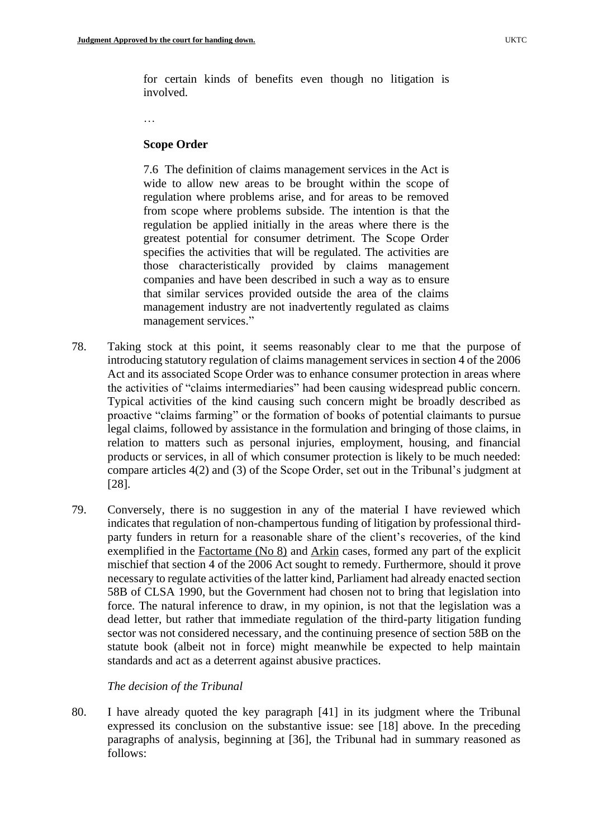for certain kinds of benefits even though no litigation is involved.

…

#### **Scope Order**

7.6 The definition of claims management services in the Act is wide to allow new areas to be brought within the scope of regulation where problems arise, and for areas to be removed from scope where problems subside. The intention is that the regulation be applied initially in the areas where there is the greatest potential for consumer detriment. The Scope Order specifies the activities that will be regulated. The activities are those characteristically provided by claims management companies and have been described in such a way as to ensure that similar services provided outside the area of the claims management industry are not inadvertently regulated as claims management services."

- 78. Taking stock at this point, it seems reasonably clear to me that the purpose of introducing statutory regulation of claims management services in section 4 of the 2006 Act and its associated Scope Order was to enhance consumer protection in areas where the activities of "claims intermediaries" had been causing widespread public concern. Typical activities of the kind causing such concern might be broadly described as proactive "claims farming" or the formation of books of potential claimants to pursue legal claims, followed by assistance in the formulation and bringing of those claims, in relation to matters such as personal injuries, employment, housing, and financial products or services, in all of which consumer protection is likely to be much needed: compare articles 4(2) and (3) of the Scope Order, set out in the Tribunal's judgment at [28].
- 79. Conversely, there is no suggestion in any of the material I have reviewed which indicates that regulation of non-champertous funding of litigation by professional thirdparty funders in return for a reasonable share of the client's recoveries, of the kind exemplified in the Factortame (No 8) and Arkin cases, formed any part of the explicit mischief that section 4 of the 2006 Act sought to remedy. Furthermore, should it prove necessary to regulate activities of the latter kind, Parliament had already enacted section 58B of CLSA 1990, but the Government had chosen not to bring that legislation into force. The natural inference to draw, in my opinion, is not that the legislation was a dead letter, but rather that immediate regulation of the third-party litigation funding sector was not considered necessary, and the continuing presence of section 58B on the statute book (albeit not in force) might meanwhile be expected to help maintain standards and act as a deterrent against abusive practices.

#### *The decision of the Tribunal*

80. I have already quoted the key paragraph [41] in its judgment where the Tribunal expressed its conclusion on the substantive issue: see [18] above. In the preceding paragraphs of analysis, beginning at [36], the Tribunal had in summary reasoned as follows: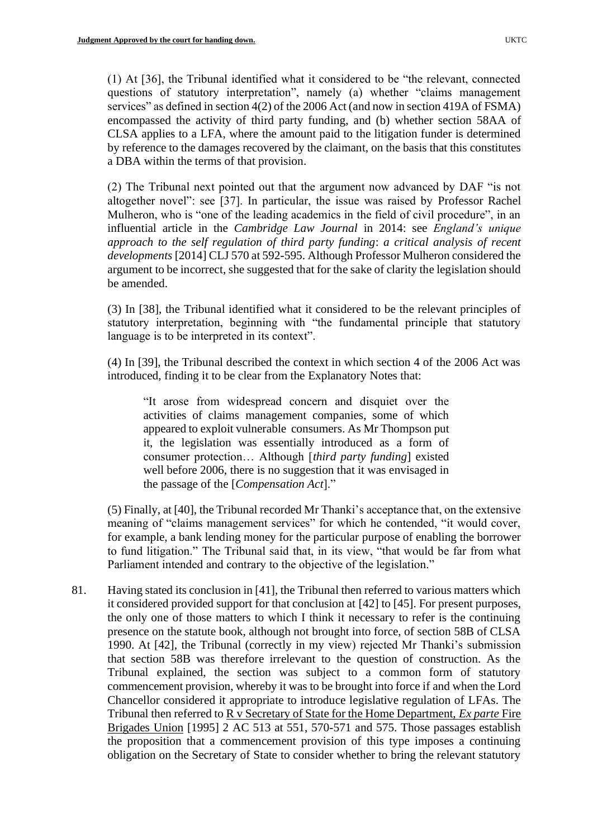(1) At [36], the Tribunal identified what it considered to be "the relevant, connected questions of statutory interpretation", namely (a) whether "claims management services" as defined in section 4(2) of the 2006 Act (and now in section 419A of FSMA) encompassed the activity of third party funding, and (b) whether section 58AA of CLSA applies to a LFA, where the amount paid to the litigation funder is determined by reference to the damages recovered by the claimant, on the basis that this constitutes a DBA within the terms of that provision.

(2) The Tribunal next pointed out that the argument now advanced by DAF "is not altogether novel": see [37]. In particular, the issue was raised by Professor Rachel Mulheron, who is "one of the leading academics in the field of civil procedure", in an influential article in the *Cambridge Law Journal* in 2014: see *England's unique approach to the self regulation of third party funding*: *a critical analysis of recent developments* [2014] CLJ 570 at 592-595. Although Professor Mulheron considered the argument to be incorrect, she suggested that for the sake of clarity the legislation should be amended.

(3) In [38], the Tribunal identified what it considered to be the relevant principles of statutory interpretation, beginning with "the fundamental principle that statutory language is to be interpreted in its context".

(4) In [39], the Tribunal described the context in which section 4 of the 2006 Act was introduced, finding it to be clear from the Explanatory Notes that:

"It arose from widespread concern and disquiet over the activities of claims management companies, some of which appeared to exploit vulnerable consumers. As Mr Thompson put it, the legislation was essentially introduced as a form of consumer protection… Although [*third party funding*] existed well before 2006, there is no suggestion that it was envisaged in the passage of the [*Compensation Act*]."

(5) Finally, at [40], the Tribunal recorded Mr Thanki's acceptance that, on the extensive meaning of "claims management services" for which he contended, "it would cover, for example, a bank lending money for the particular purpose of enabling the borrower to fund litigation." The Tribunal said that, in its view, "that would be far from what Parliament intended and contrary to the objective of the legislation."

81. Having stated its conclusion in [41], the Tribunal then referred to various matters which it considered provided support for that conclusion at [42] to [45]. For present purposes, the only one of those matters to which I think it necessary to refer is the continuing presence on the statute book, although not brought into force, of section 58B of CLSA 1990. At [42], the Tribunal (correctly in my view) rejected Mr Thanki's submission that section 58B was therefore irrelevant to the question of construction. As the Tribunal explained, the section was subject to a common form of statutory commencement provision, whereby it was to be brought into force if and when the Lord Chancellor considered it appropriate to introduce legislative regulation of LFAs. The Tribunal then referred to R v Secretary of State for the Home Department, *Ex parte* Fire Brigades Union [1995] 2 AC 513 at 551, 570-571 and 575. Those passages establish the proposition that a commencement provision of this type imposes a continuing obligation on the Secretary of State to consider whether to bring the relevant statutory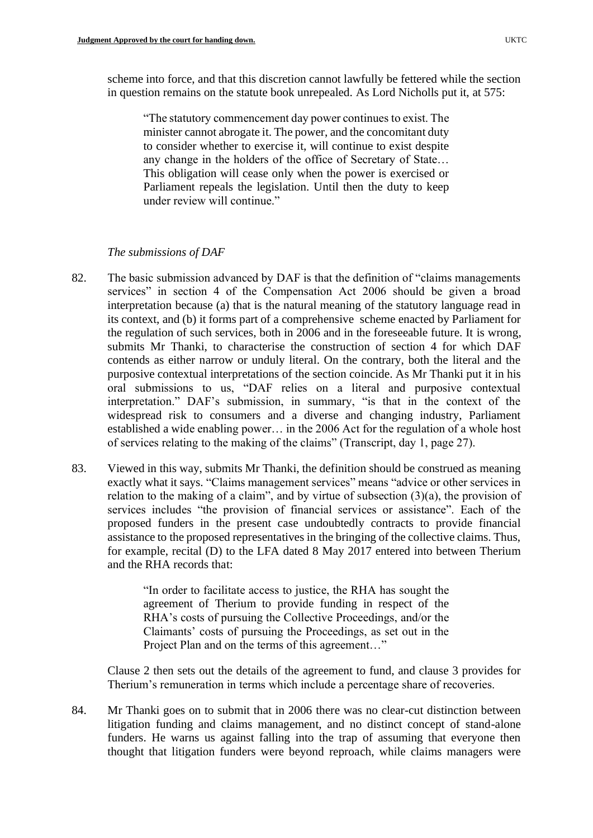scheme into force, and that this discretion cannot lawfully be fettered while the section in question remains on the statute book unrepealed. As Lord Nicholls put it, at 575:

"The statutory commencement day power continues to exist. The minister cannot abrogate it. The power, and the concomitant duty to consider whether to exercise it, will continue to exist despite any change in the holders of the office of Secretary of State… This obligation will cease only when the power is exercised or Parliament repeals the legislation. Until then the duty to keep under review will continue."

### *The submissions of DAF*

- 82. The basic submission advanced by DAF is that the definition of "claims managements services" in section 4 of the Compensation Act 2006 should be given a broad interpretation because (a) that is the natural meaning of the statutory language read in its context, and (b) it forms part of a comprehensive scheme enacted by Parliament for the regulation of such services, both in 2006 and in the foreseeable future. It is wrong, submits Mr Thanki, to characterise the construction of section 4 for which DAF contends as either narrow or unduly literal. On the contrary, both the literal and the purposive contextual interpretations of the section coincide. As Mr Thanki put it in his oral submissions to us, "DAF relies on a literal and purposive contextual interpretation." DAF's submission, in summary, "is that in the context of the widespread risk to consumers and a diverse and changing industry, Parliament established a wide enabling power… in the 2006 Act for the regulation of a whole host of services relating to the making of the claims" (Transcript, day 1, page 27).
- 83. Viewed in this way, submits Mr Thanki, the definition should be construed as meaning exactly what it says. "Claims management services" means "advice or other services in relation to the making of a claim", and by virtue of subsection  $(3)(a)$ , the provision of services includes "the provision of financial services or assistance". Each of the proposed funders in the present case undoubtedly contracts to provide financial assistance to the proposed representatives in the bringing of the collective claims. Thus, for example, recital (D) to the LFA dated 8 May 2017 entered into between Therium and the RHA records that:

"In order to facilitate access to justice, the RHA has sought the agreement of Therium to provide funding in respect of the RHA's costs of pursuing the Collective Proceedings, and/or the Claimants' costs of pursuing the Proceedings, as set out in the Project Plan and on the terms of this agreement..."

Clause 2 then sets out the details of the agreement to fund, and clause 3 provides for Therium's remuneration in terms which include a percentage share of recoveries.

84. Mr Thanki goes on to submit that in 2006 there was no clear-cut distinction between litigation funding and claims management, and no distinct concept of stand-alone funders. He warns us against falling into the trap of assuming that everyone then thought that litigation funders were beyond reproach, while claims managers were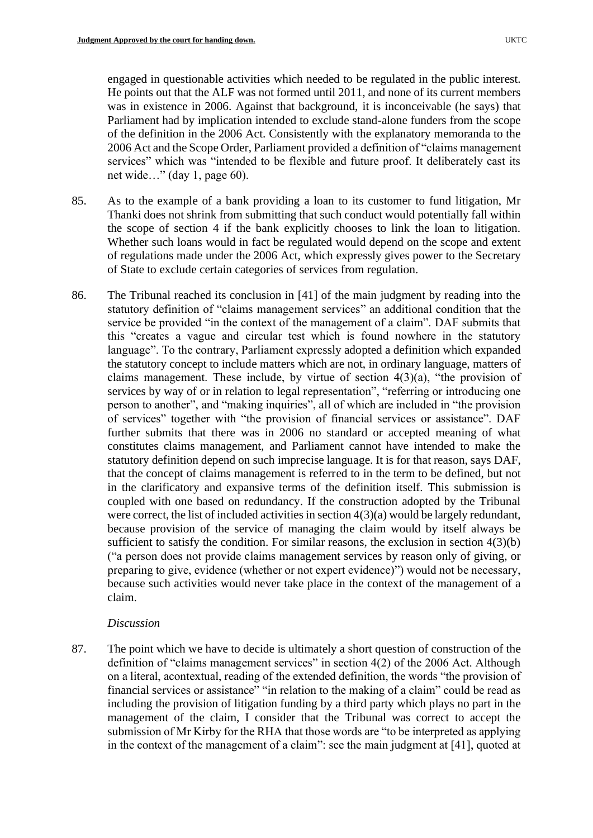engaged in questionable activities which needed to be regulated in the public interest. He points out that the ALF was not formed until 2011, and none of its current members was in existence in 2006. Against that background, it is inconceivable (he says) that Parliament had by implication intended to exclude stand-alone funders from the scope of the definition in the 2006 Act. Consistently with the explanatory memoranda to the 2006 Act and the Scope Order, Parliament provided a definition of "claims management services" which was "intended to be flexible and future proof. It deliberately cast its net wide…" (day 1, page 60).

- 85. As to the example of a bank providing a loan to its customer to fund litigation, Mr Thanki does not shrink from submitting that such conduct would potentially fall within the scope of section 4 if the bank explicitly chooses to link the loan to litigation. Whether such loans would in fact be regulated would depend on the scope and extent of regulations made under the 2006 Act, which expressly gives power to the Secretary of State to exclude certain categories of services from regulation.
- 86. The Tribunal reached its conclusion in [41] of the main judgment by reading into the statutory definition of "claims management services" an additional condition that the service be provided "in the context of the management of a claim". DAF submits that this "creates a vague and circular test which is found nowhere in the statutory language". To the contrary, Parliament expressly adopted a definition which expanded the statutory concept to include matters which are not, in ordinary language, matters of claims management. These include, by virtue of section 4(3)(a), "the provision of services by way of or in relation to legal representation", "referring or introducing one person to another", and "making inquiries", all of which are included in "the provision of services" together with "the provision of financial services or assistance". DAF further submits that there was in 2006 no standard or accepted meaning of what constitutes claims management, and Parliament cannot have intended to make the statutory definition depend on such imprecise language. It is for that reason, says DAF, that the concept of claims management is referred to in the term to be defined, but not in the clarificatory and expansive terms of the definition itself. This submission is coupled with one based on redundancy. If the construction adopted by the Tribunal were correct, the list of included activities in section 4(3)(a) would be largely redundant, because provision of the service of managing the claim would by itself always be sufficient to satisfy the condition. For similar reasons, the exclusion in section  $4(3)(b)$ ("a person does not provide claims management services by reason only of giving, or preparing to give, evidence (whether or not expert evidence)") would not be necessary, because such activities would never take place in the context of the management of a claim.

### *Discussion*

87. The point which we have to decide is ultimately a short question of construction of the definition of "claims management services" in section 4(2) of the 2006 Act. Although on a literal, acontextual, reading of the extended definition, the words "the provision of financial services or assistance" "in relation to the making of a claim" could be read as including the provision of litigation funding by a third party which plays no part in the management of the claim, I consider that the Tribunal was correct to accept the submission of Mr Kirby for the RHA that those words are "to be interpreted as applying in the context of the management of a claim": see the main judgment at [41], quoted at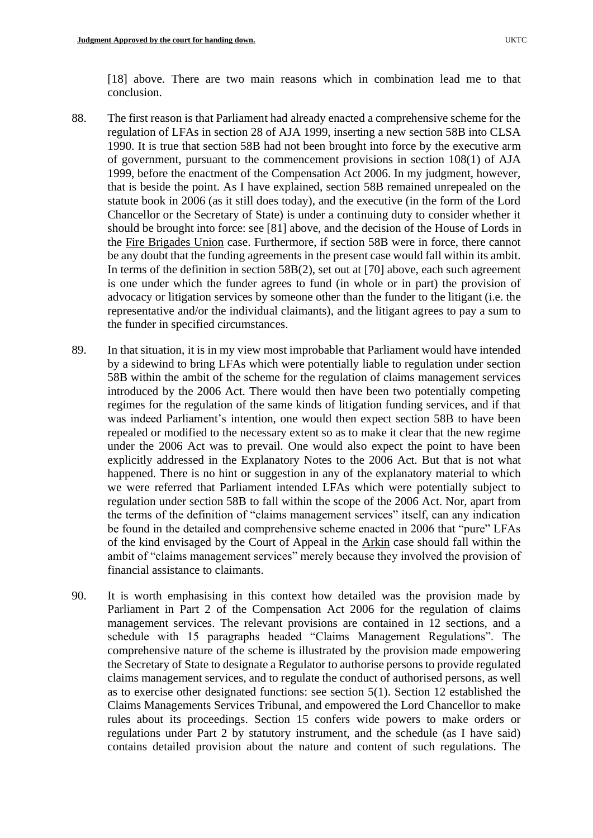[18] above. There are two main reasons which in combination lead me to that conclusion.

- 88. The first reason is that Parliament had already enacted a comprehensive scheme for the regulation of LFAs in section 28 of AJA 1999, inserting a new section 58B into CLSA 1990. It is true that section 58B had not been brought into force by the executive arm of government, pursuant to the commencement provisions in section 108(1) of AJA 1999, before the enactment of the Compensation Act 2006. In my judgment, however, that is beside the point. As I have explained, section 58B remained unrepealed on the statute book in 2006 (as it still does today), and the executive (in the form of the Lord Chancellor or the Secretary of State) is under a continuing duty to consider whether it should be brought into force: see [81] above, and the decision of the House of Lords in the Fire Brigades Union case. Furthermore, if section 58B were in force, there cannot be any doubt that the funding agreements in the present case would fall within its ambit. In terms of the definition in section 58B(2), set out at [70] above, each such agreement is one under which the funder agrees to fund (in whole or in part) the provision of advocacy or litigation services by someone other than the funder to the litigant (i.e. the representative and/or the individual claimants), and the litigant agrees to pay a sum to the funder in specified circumstances.
- 89. In that situation, it is in my view most improbable that Parliament would have intended by a sidewind to bring LFAs which were potentially liable to regulation under section 58B within the ambit of the scheme for the regulation of claims management services introduced by the 2006 Act. There would then have been two potentially competing regimes for the regulation of the same kinds of litigation funding services, and if that was indeed Parliament's intention, one would then expect section 58B to have been repealed or modified to the necessary extent so as to make it clear that the new regime under the 2006 Act was to prevail. One would also expect the point to have been explicitly addressed in the Explanatory Notes to the 2006 Act. But that is not what happened. There is no hint or suggestion in any of the explanatory material to which we were referred that Parliament intended LFAs which were potentially subject to regulation under section 58B to fall within the scope of the 2006 Act. Nor, apart from the terms of the definition of "claims management services" itself, can any indication be found in the detailed and comprehensive scheme enacted in 2006 that "pure" LFAs of the kind envisaged by the Court of Appeal in the Arkin case should fall within the ambit of "claims management services" merely because they involved the provision of financial assistance to claimants.
- 90. It is worth emphasising in this context how detailed was the provision made by Parliament in Part 2 of the Compensation Act 2006 for the regulation of claims management services. The relevant provisions are contained in 12 sections, and a schedule with 15 paragraphs headed "Claims Management Regulations". The comprehensive nature of the scheme is illustrated by the provision made empowering the Secretary of State to designate a Regulator to authorise persons to provide regulated claims management services, and to regulate the conduct of authorised persons, as well as to exercise other designated functions: see section 5(1). Section 12 established the Claims Managements Services Tribunal, and empowered the Lord Chancellor to make rules about its proceedings. Section 15 confers wide powers to make orders or regulations under Part 2 by statutory instrument, and the schedule (as I have said) contains detailed provision about the nature and content of such regulations. The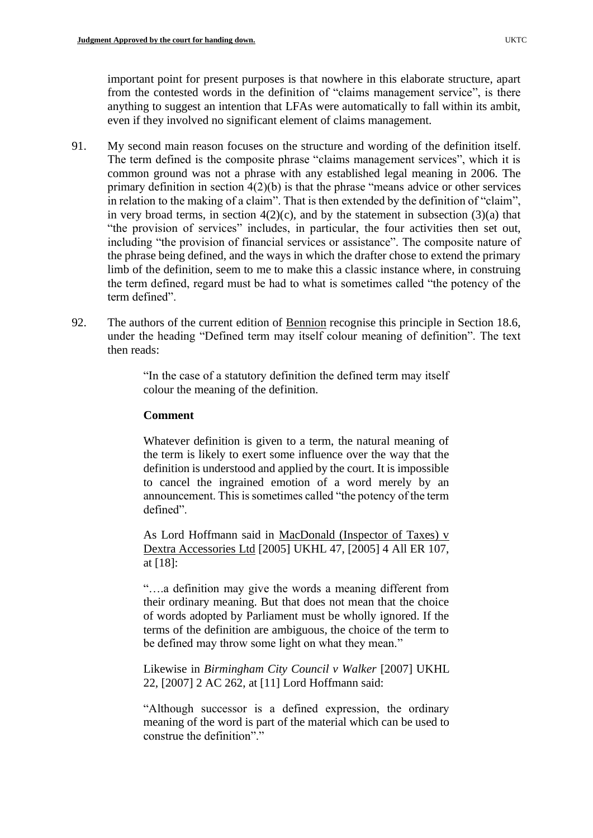important point for present purposes is that nowhere in this elaborate structure, apart from the contested words in the definition of "claims management service", is there anything to suggest an intention that LFAs were automatically to fall within its ambit, even if they involved no significant element of claims management.

- 91. My second main reason focuses on the structure and wording of the definition itself. The term defined is the composite phrase "claims management services", which it is common ground was not a phrase with any established legal meaning in 2006. The primary definition in section  $4(2)(b)$  is that the phrase "means advice or other services" in relation to the making of a claim". That is then extended by the definition of "claim", in very broad terms, in section  $4(2)(c)$ , and by the statement in subsection  $(3)(a)$  that "the provision of services" includes, in particular, the four activities then set out, including "the provision of financial services or assistance". The composite nature of the phrase being defined, and the ways in which the drafter chose to extend the primary limb of the definition, seem to me to make this a classic instance where, in construing the term defined, regard must be had to what is sometimes called "the potency of the term defined".
- 92. The authors of the current edition of Bennion recognise this principle in Section 18.6, under the heading "Defined term may itself colour meaning of definition". The text then reads:

"In the case of a statutory definition the defined term may itself colour the meaning of the definition.

#### **Comment**

Whatever definition is given to a term, the natural meaning of the term is likely to exert some influence over the way that the definition is understood and applied by the court. It is impossible to cancel the ingrained emotion of a word merely by an announcement. This is sometimes called "the potency of the term defined".

As Lord Hoffmann said in MacDonald (Inspector of Taxes) v Dextra Accessories Ltd [2005] UKHL 47, [2005] 4 All ER 107, at [18]:

"….a definition may give the words a meaning different from their ordinary meaning. But that does not mean that the choice of words adopted by Parliament must be wholly ignored. If the terms of the definition are ambiguous, the choice of the term to be defined may throw some light on what they mean."

Likewise in *Birmingham City Council v Walker* [2007] UKHL 22, [2007] 2 AC 262, at [11] Lord Hoffmann said:

"Although successor is a defined expression, the ordinary meaning of the word is part of the material which can be used to construe the definition"."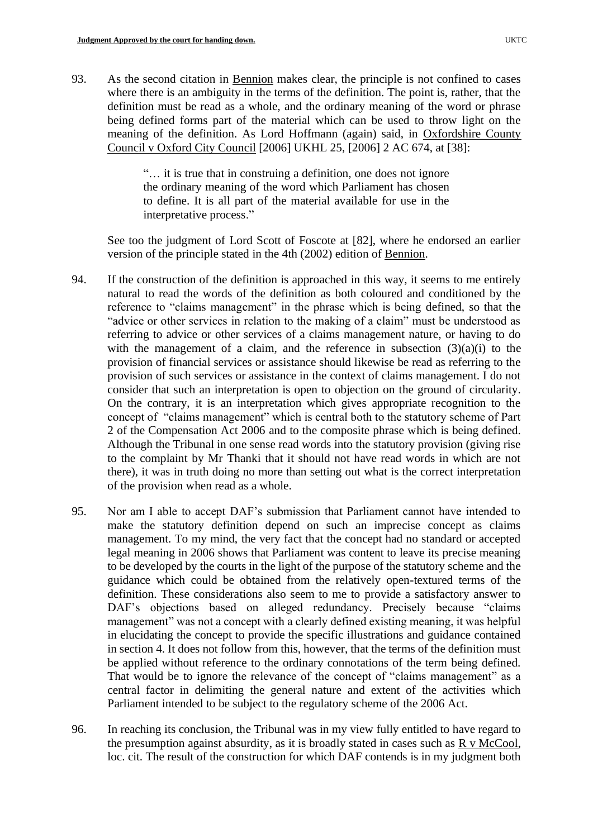93. As the second citation in Bennion makes clear, the principle is not confined to cases where there is an ambiguity in the terms of the definition. The point is, rather, that the definition must be read as a whole, and the ordinary meaning of the word or phrase being defined forms part of the material which can be used to throw light on the meaning of the definition. As Lord Hoffmann (again) said, in Oxfordshire County Council v Oxford City Council [2006] UKHL 25, [2006] 2 AC 674, at [38]:

> "… it is true that in construing a definition, one does not ignore the ordinary meaning of the word which Parliament has chosen to define. It is all part of the material available for use in the interpretative process."

See too the judgment of Lord Scott of Foscote at [82], where he endorsed an earlier version of the principle stated in the 4th (2002) edition of Bennion.

- 94. If the construction of the definition is approached in this way, it seems to me entirely natural to read the words of the definition as both coloured and conditioned by the reference to "claims management" in the phrase which is being defined, so that the "advice or other services in relation to the making of a claim" must be understood as referring to advice or other services of a claims management nature, or having to do with the management of a claim, and the reference in subsection  $(3)(a)(i)$  to the provision of financial services or assistance should likewise be read as referring to the provision of such services or assistance in the context of claims management. I do not consider that such an interpretation is open to objection on the ground of circularity. On the contrary, it is an interpretation which gives appropriate recognition to the concept of "claims management" which is central both to the statutory scheme of Part 2 of the Compensation Act 2006 and to the composite phrase which is being defined. Although the Tribunal in one sense read words into the statutory provision (giving rise to the complaint by Mr Thanki that it should not have read words in which are not there), it was in truth doing no more than setting out what is the correct interpretation of the provision when read as a whole.
- 95. Nor am I able to accept DAF's submission that Parliament cannot have intended to make the statutory definition depend on such an imprecise concept as claims management. To my mind, the very fact that the concept had no standard or accepted legal meaning in 2006 shows that Parliament was content to leave its precise meaning to be developed by the courts in the light of the purpose of the statutory scheme and the guidance which could be obtained from the relatively open-textured terms of the definition. These considerations also seem to me to provide a satisfactory answer to DAF's objections based on alleged redundancy. Precisely because "claims" management" was not a concept with a clearly defined existing meaning, it was helpful in elucidating the concept to provide the specific illustrations and guidance contained in section 4. It does not follow from this, however, that the terms of the definition must be applied without reference to the ordinary connotations of the term being defined. That would be to ignore the relevance of the concept of "claims management" as a central factor in delimiting the general nature and extent of the activities which Parliament intended to be subject to the regulatory scheme of the 2006 Act.
- 96. In reaching its conclusion, the Tribunal was in my view fully entitled to have regard to the presumption against absurdity, as it is broadly stated in cases such as  $R \text{ v } \text{McCool}$ , loc. cit. The result of the construction for which DAF contends is in my judgment both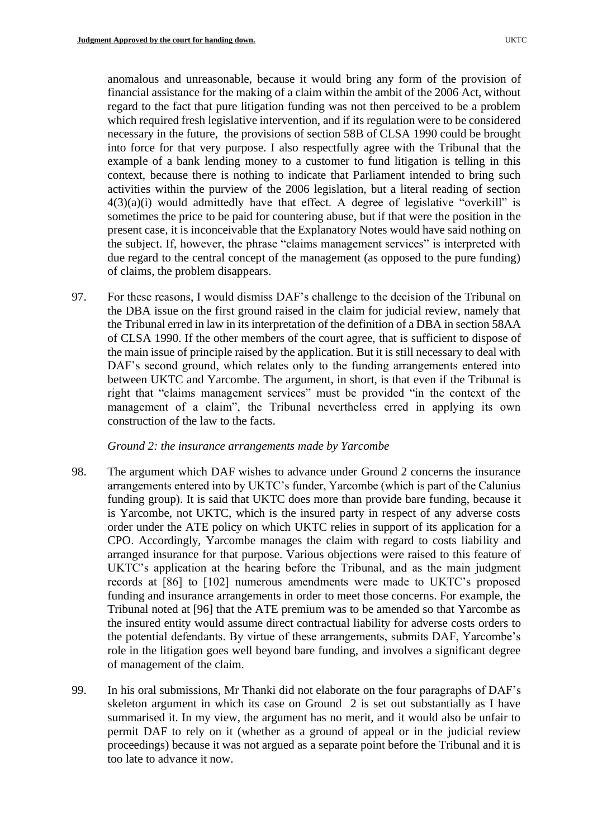anomalous and unreasonable, because it would bring any form of the provision of financial assistance for the making of a claim within the ambit of the 2006 Act, without regard to the fact that pure litigation funding was not then perceived to be a problem which required fresh legislative intervention, and if its regulation were to be considered necessary in the future, the provisions of section 58B of CLSA 1990 could be brought into force for that very purpose. I also respectfully agree with the Tribunal that the example of a bank lending money to a customer to fund litigation is telling in this context, because there is nothing to indicate that Parliament intended to bring such activities within the purview of the 2006 legislation, but a literal reading of section  $4(3)(a)(i)$  would admittedly have that effect. A degree of legislative "overkill" is sometimes the price to be paid for countering abuse, but if that were the position in the present case, it is inconceivable that the Explanatory Notes would have said nothing on the subject. If, however, the phrase "claims management services" is interpreted with due regard to the central concept of the management (as opposed to the pure funding) of claims, the problem disappears.

97. For these reasons, I would dismiss DAF's challenge to the decision of the Tribunal on the DBA issue on the first ground raised in the claim for judicial review, namely that the Tribunal erred in law in its interpretation of the definition of a DBA in section 58AA of CLSA 1990. If the other members of the court agree, that is sufficient to dispose of the main issue of principle raised by the application. But it is still necessary to deal with DAF's second ground, which relates only to the funding arrangements entered into between UKTC and Yarcombe. The argument, in short, is that even if the Tribunal is right that "claims management services" must be provided "in the context of the management of a claim", the Tribunal nevertheless erred in applying its own construction of the law to the facts.

#### *Ground 2: the insurance arrangements made by Yarcombe*

- 98. The argument which DAF wishes to advance under Ground 2 concerns the insurance arrangements entered into by UKTC's funder, Yarcombe (which is part of the Calunius funding group). It is said that UKTC does more than provide bare funding, because it is Yarcombe, not UKTC, which is the insured party in respect of any adverse costs order under the ATE policy on which UKTC relies in support of its application for a CPO. Accordingly, Yarcombe manages the claim with regard to costs liability and arranged insurance for that purpose. Various objections were raised to this feature of UKTC's application at the hearing before the Tribunal, and as the main judgment records at [86] to [102] numerous amendments were made to UKTC's proposed funding and insurance arrangements in order to meet those concerns. For example, the Tribunal noted at [96] that the ATE premium was to be amended so that Yarcombe as the insured entity would assume direct contractual liability for adverse costs orders to the potential defendants. By virtue of these arrangements, submits DAF, Yarcombe's role in the litigation goes well beyond bare funding, and involves a significant degree of management of the claim.
- 99. In his oral submissions, Mr Thanki did not elaborate on the four paragraphs of DAF's skeleton argument in which its case on Ground 2 is set out substantially as I have summarised it. In my view, the argument has no merit, and it would also be unfair to permit DAF to rely on it (whether as a ground of appeal or in the judicial review proceedings) because it was not argued as a separate point before the Tribunal and it is too late to advance it now.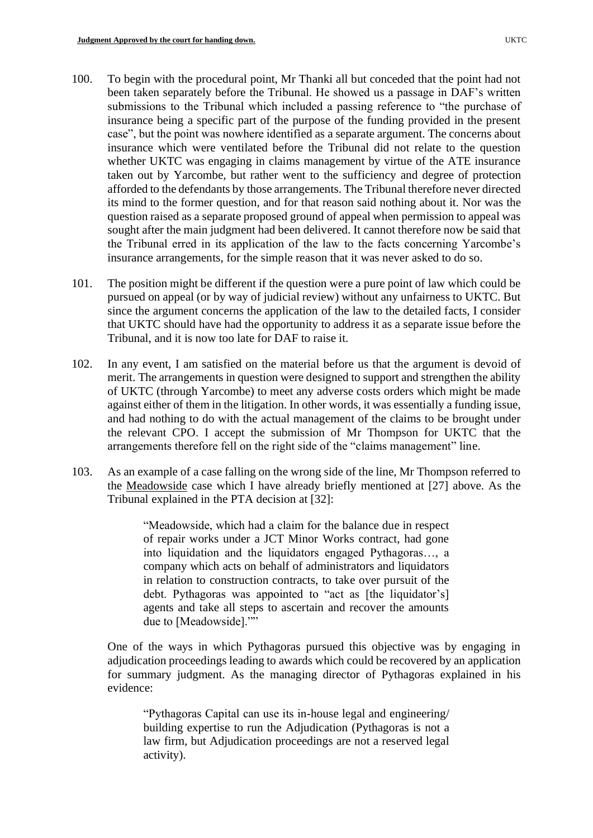- 100. To begin with the procedural point, Mr Thanki all but conceded that the point had not been taken separately before the Tribunal. He showed us a passage in DAF's written submissions to the Tribunal which included a passing reference to "the purchase of insurance being a specific part of the purpose of the funding provided in the present case", but the point was nowhere identified as a separate argument. The concerns about insurance which were ventilated before the Tribunal did not relate to the question whether UKTC was engaging in claims management by virtue of the ATE insurance taken out by Yarcombe, but rather went to the sufficiency and degree of protection afforded to the defendants by those arrangements. The Tribunal therefore never directed its mind to the former question, and for that reason said nothing about it. Nor was the question raised as a separate proposed ground of appeal when permission to appeal was sought after the main judgment had been delivered. It cannot therefore now be said that the Tribunal erred in its application of the law to the facts concerning Yarcombe's insurance arrangements, for the simple reason that it was never asked to do so.
- 101. The position might be different if the question were a pure point of law which could be pursued on appeal (or by way of judicial review) without any unfairness to UKTC. But since the argument concerns the application of the law to the detailed facts, I consider that UKTC should have had the opportunity to address it as a separate issue before the Tribunal, and it is now too late for DAF to raise it.
- 102. In any event, I am satisfied on the material before us that the argument is devoid of merit. The arrangements in question were designed to support and strengthen the ability of UKTC (through Yarcombe) to meet any adverse costs orders which might be made against either of them in the litigation. In other words, it was essentially a funding issue, and had nothing to do with the actual management of the claims to be brought under the relevant CPO. I accept the submission of Mr Thompson for UKTC that the arrangements therefore fell on the right side of the "claims management" line.
- 103. As an example of a case falling on the wrong side of the line, Mr Thompson referred to the Meadowside case which I have already briefly mentioned at [27] above. As the Tribunal explained in the PTA decision at [32]:

"Meadowside, which had a claim for the balance due in respect of repair works under a JCT Minor Works contract, had gone into liquidation and the liquidators engaged Pythagoras…, a company which acts on behalf of administrators and liquidators in relation to construction contracts, to take over pursuit of the debt. Pythagoras was appointed to "act as [the liquidator's] agents and take all steps to ascertain and recover the amounts due to [Meadowside].""

One of the ways in which Pythagoras pursued this objective was by engaging in adjudication proceedings leading to awards which could be recovered by an application for summary judgment. As the managing director of Pythagoras explained in his evidence:

"Pythagoras Capital can use its in-house legal and engineering/ building expertise to run the Adjudication (Pythagoras is not a law firm, but Adjudication proceedings are not a reserved legal activity).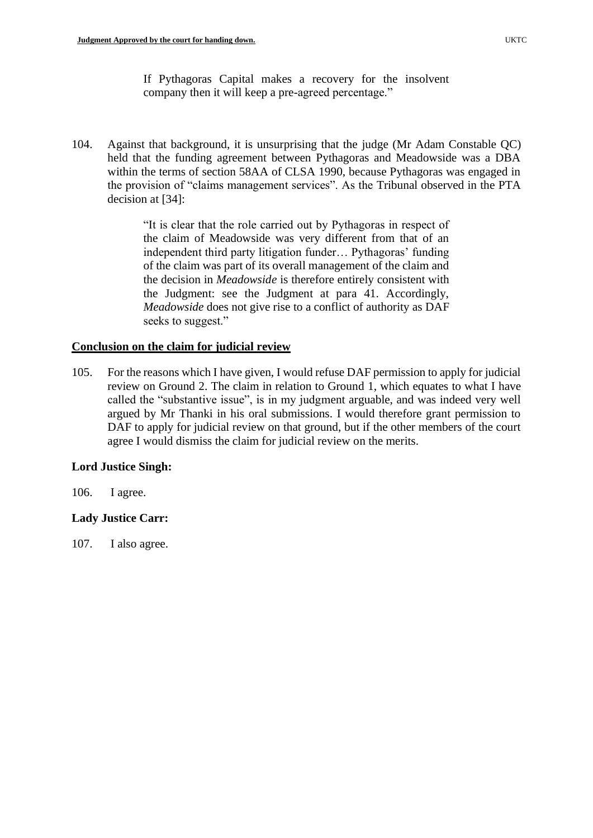If Pythagoras Capital makes a recovery for the insolvent company then it will keep a pre-agreed percentage."

104. Against that background, it is unsurprising that the judge (Mr Adam Constable QC) held that the funding agreement between Pythagoras and Meadowside was a DBA within the terms of section 58AA of CLSA 1990, because Pythagoras was engaged in the provision of "claims management services". As the Tribunal observed in the PTA decision at [34]:

> "It is clear that the role carried out by Pythagoras in respect of the claim of Meadowside was very different from that of an independent third party litigation funder… Pythagoras' funding of the claim was part of its overall management of the claim and the decision in *Meadowside* is therefore entirely consistent with the Judgment: see the Judgment at para 41. Accordingly, *Meadowside* does not give rise to a conflict of authority as DAF seeks to suggest."

### **Conclusion on the claim for judicial review**

105. For the reasons which I have given, I would refuse DAF permission to apply for judicial review on Ground 2. The claim in relation to Ground 1, which equates to what I have called the "substantive issue", is in my judgment arguable, and was indeed very well argued by Mr Thanki in his oral submissions. I would therefore grant permission to DAF to apply for judicial review on that ground, but if the other members of the court agree I would dismiss the claim for judicial review on the merits.

### **Lord Justice Singh:**

106. I agree.

# **Lady Justice Carr:**

107. I also agree.